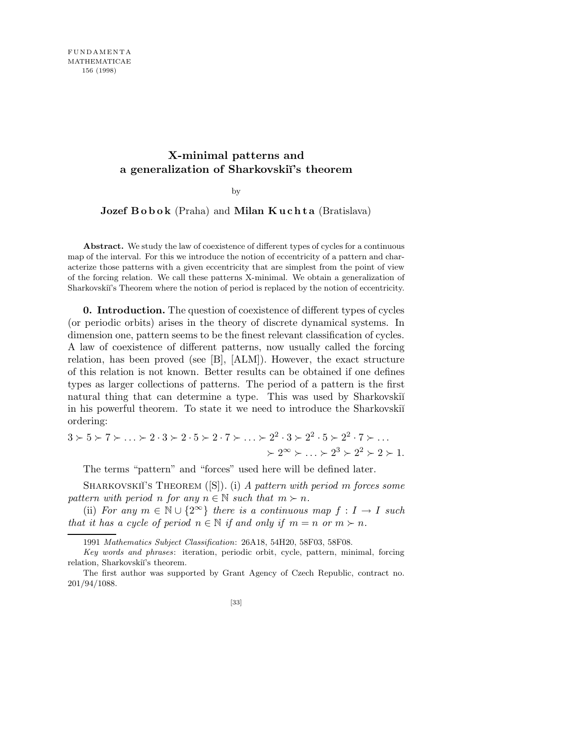# **X-minimal patterns and a generalization of Sharkovski˘ı's theorem**

#### by

# Jozef Bobok (Praha) and Milan Kuchta (Bratislava)

Abstract. We study the law of coexistence of different types of cycles for a continuous map of the interval. For this we introduce the notion of eccentricity of a pattern and characterize those patterns with a given eccentricity that are simplest from the point of view of the forcing relation. We call these patterns X-minimal. We obtain a generalization of Sharkovskiı's Theorem where the notion of period is replaced by the notion of eccentricity.

0. Introduction. The question of coexistence of different types of cycles (or periodic orbits) arises in the theory of discrete dynamical systems. In dimension one, pattern seems to be the finest relevant classification of cycles. A law of coexistence of different patterns, now usually called the forcing relation, has been proved (see [B], [ALM]). However, the exact structure of this relation is not known. Better results can be obtained if one defines types as larger collections of patterns. The period of a pattern is the first natural thing that can determine a type. This was used by Sharkovski<sup>i</sup> in his powerful theorem. To state it we need to introduce the Sharkovski<sup> $\check{\mathrm{m}}$ </sup> ordering:

$$
3 \succ 5 \succ 7 \succ \ldots \succ 2 \cdot 3 \succ 2 \cdot 5 \succ 2 \cdot 7 \succ \ldots \succ 2^2 \cdot 3 \succ 2^2 \cdot 5 \succ 2^2 \cdot 7 \succ \ldots
$$

$$
\succ 2^{\infty} \succ \ldots \succ 2^3 \succ 2^2 \succ 2 \succ 1.
$$

The terms "pattern" and "forces" used here will be defined later.

SHARKOVSKIĬ'S THEOREM  $([S])$ . (i) A pattern with period m forces some pattern with period n for any  $n \in \mathbb{N}$  such that  $m \succ n$ .

(ii) For any  $m \in \mathbb{N} \cup \{2^{\infty}\}\$  there is a continuous map  $f: I \to I$  such that it has a cycle of period  $n \in \mathbb{N}$  if and only if  $m = n$  or  $m \succ n$ .

<sup>1991</sup> *Mathematics Subject Classification*: 26A18, 54H20, 58F03, 58F08.

*Key words and phrases*: iteration, periodic orbit, cycle, pattern, minimal, forcing relation, Sharkovskiï's theorem.

The first author was supported by Grant Agency of Czech Republic, contract no. 201/94/1088.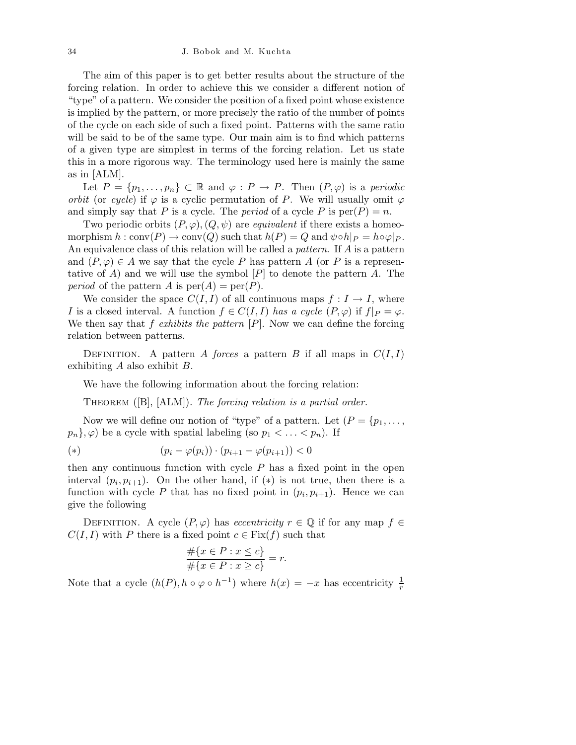#### 34 J. Bobok and M. Kuchta

The aim of this paper is to get better results about the structure of the forcing relation. In order to achieve this we consider a different notion of "type" of a pattern. We consider the position of a fixed point whose existence is implied by the pattern, or more precisely the ratio of the number of points of the cycle on each side of such a fixed point. Patterns with the same ratio will be said to be of the same type. Our main aim is to find which patterns of a given type are simplest in terms of the forcing relation. Let us state this in a more rigorous way. The terminology used here is mainly the same as in [ALM].

Let  $P = \{p_1, \ldots, p_n\} \subset \mathbb{R}$  and  $\varphi : P \to P$ . Then  $(P, \varphi)$  is a periodic orbit (or cycle) if  $\varphi$  is a cyclic permutation of P. We will usually omit  $\varphi$ and simply say that P is a cycle. The *period* of a cycle P is  $\text{per}(P) = n$ .

Two periodic orbits  $(P, \varphi), (Q, \psi)$  are *equivalent* if there exists a homeomorphism  $h : conv(P) \to conv(Q)$  such that  $h(P) = Q$  and  $\psi \circ h|_P = h \circ \varphi|_P$ . An equivalence class of this relation will be called a *pattern*. If A is a pattern and  $(P, \varphi) \in A$  we say that the cycle P has pattern A (or P is a representative of A) and we will use the symbol  $[P]$  to denote the pattern A. The *period* of the pattern A is  $per(A) = per(P)$ .

We consider the space  $C(I, I)$  of all continuous maps  $f : I \to I$ , where I is a closed interval. A function  $f \in C(I,I)$  has a cycle  $(P,\varphi)$  if  $f|_P = \varphi$ . We then say that f exhibits the pattern  $[P]$ . Now we can define the forcing relation between patterns.

DEFINITION. A pattern A forces a pattern B if all maps in  $C(I, I)$ exhibiting A also exhibit B.

We have the following information about the forcing relation:

THEOREM ([B], [ALM]). The forcing relation is a partial order.

Now we will define our notion of "type" of a pattern. Let  $(P = \{p_1, \ldots, p_n\})$  $p_n$ ,  $\varphi$  be a cycle with spatial labeling (so  $p_1 < \ldots < p_n$ ). If

(\*) 
$$
(p_i - \varphi(p_i)) \cdot (p_{i+1} - \varphi(p_{i+1})) < 0
$$

then any continuous function with cycle  $P$  has a fixed point in the open interval  $(p_i, p_{i+1})$ . On the other hand, if  $(*)$  is not true, then there is a function with cycle P that has no fixed point in  $(p_i, p_{i+1})$ . Hence we can give the following

DEFINITION. A cycle  $(P, \varphi)$  has *eccentricity*  $r \in \mathbb{Q}$  if for any map  $f \in$  $C(I, I)$  with P there is a fixed point  $c \in Fix(f)$  such that

$$
\frac{\#\{x \in P : x \le c\}}{\#\{x \in P : x \ge c\}} = r.
$$

Note that a cycle  $(h(P), h \circ \varphi \circ h^{-1})$  where  $h(x) = -x$  has eccentricity  $\frac{1}{r}$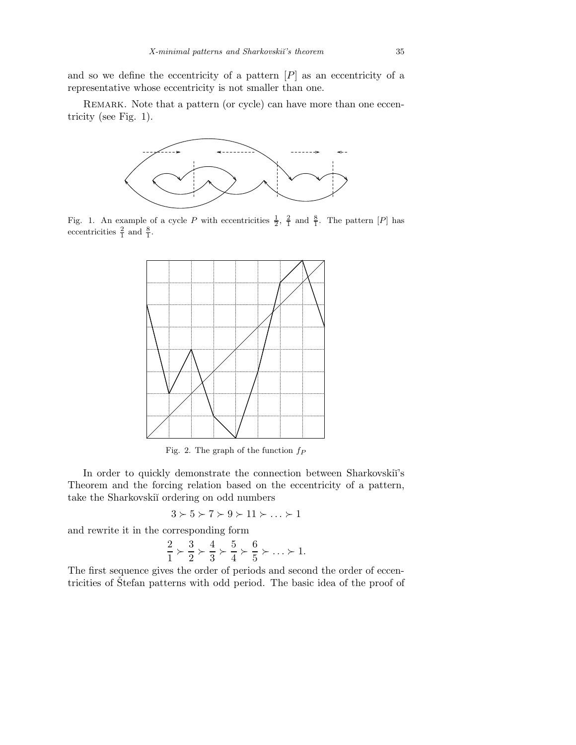and so we define the eccentricity of a pattern  $[P]$  as an eccentricity of a representative whose eccentricity is not smaller than one.

REMARK. Note that a pattern (or cycle) can have more than one eccentricity (see Fig. 1).



Fig. 1. An example of a cycle P with eccentricities  $\frac{1}{2}$ ,  $\frac{2}{1}$  and  $\frac{8}{1}$ . The pattern [P] has eccentricities  $\frac{2}{1}$  and  $\frac{8}{1}$ .



Fig. 2. The graph of the function *f<sup>P</sup>*

In order to quickly demonstrate the connection between Sharkovskiı<sup>'s</sup> Theorem and the forcing relation based on the eccentricity of a pattern, take the Sharkovskii ordering on odd numbers

$$
3\succ 5\succ 7\succ 9\succ 11\succ\ldots\succ 1
$$

and rewrite it in the corresponding form

$$
\frac{2}{1} \succ \frac{3}{2} \succ \frac{4}{3} \succ \frac{5}{4} \succ \frac{6}{5} \succ \ldots \succ 1.
$$

The first sequence gives the order of periods and second the order of eccentricities of Stefan patterns with odd period. The basic idea of the proof of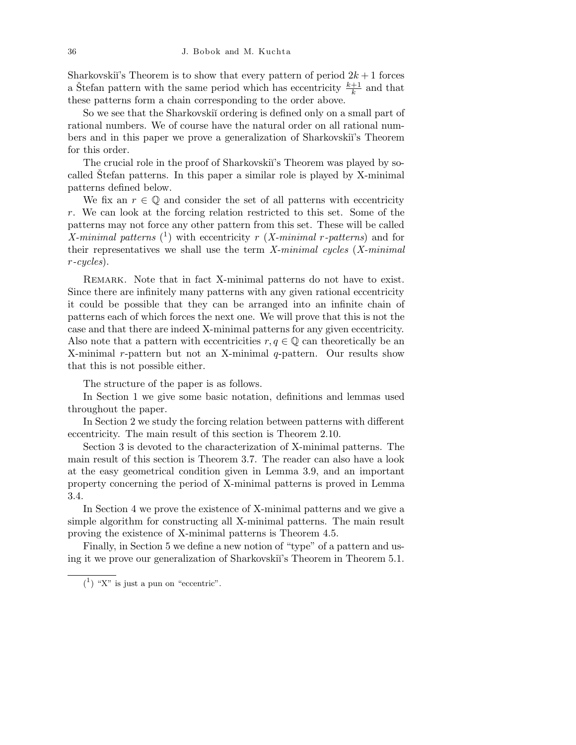Sharkovski<sup>'</sup>'s Theorem is to show that every pattern of period  $2k + 1$  forces a Štefan pattern with the same period which has eccentricity  $\frac{k+1}{k}$  and that these patterns form a chain corresponding to the order above.

So we see that the Sharkovski<sup>i</sup> ordering is defined only on a small part of rational numbers. We of course have the natural order on all rational numbers and in this paper we prove a generalization of Sharkovski˘ı's Theorem for this order.

The crucial role in the proof of Sharkovski<sup>'</sup>s Theorem was played by socalled Stefan patterns. In this paper a similar role is played by X-minimal patterns defined below.

We fix an  $r \in \mathbb{Q}$  and consider the set of all patterns with eccentricity r. We can look at the forcing relation restricted to this set. Some of the patterns may not force any other pattern from this set. These will be called X-minimal patterns  $(1)$  with eccentricity r (X-minimal r-patterns) and for their representatives we shall use the term  $X$ -minimal cycles  $(X$ -minimal r-cycles).

Remark. Note that in fact X-minimal patterns do not have to exist. Since there are infinitely many patterns with any given rational eccentricity it could be possible that they can be arranged into an infinite chain of patterns each of which forces the next one. We will prove that this is not the case and that there are indeed X-minimal patterns for any given eccentricity. Also note that a pattern with eccentricities  $r, q \in \mathbb{Q}$  can theoretically be an X-minimal r-pattern but not an X-minimal  $q$ -pattern. Our results show that this is not possible either.

The structure of the paper is as follows.

In Section 1 we give some basic notation, definitions and lemmas used throughout the paper.

In Section 2 we study the forcing relation between patterns with different eccentricity. The main result of this section is Theorem 2.10.

Section 3 is devoted to the characterization of X-minimal patterns. The main result of this section is Theorem 3.7. The reader can also have a look at the easy geometrical condition given in Lemma 3.9, and an important property concerning the period of X-minimal patterns is proved in Lemma 3.4.

In Section 4 we prove the existence of X-minimal patterns and we give a simple algorithm for constructing all X-minimal patterns. The main result proving the existence of X-minimal patterns is Theorem 4.5.

Finally, in Section 5 we define a new notion of "type" of a pattern and using it we prove our generalization of Sharkovskiï's Theorem in Theorem 5.1.

 $(1)$  "X" is just a pun on "eccentric".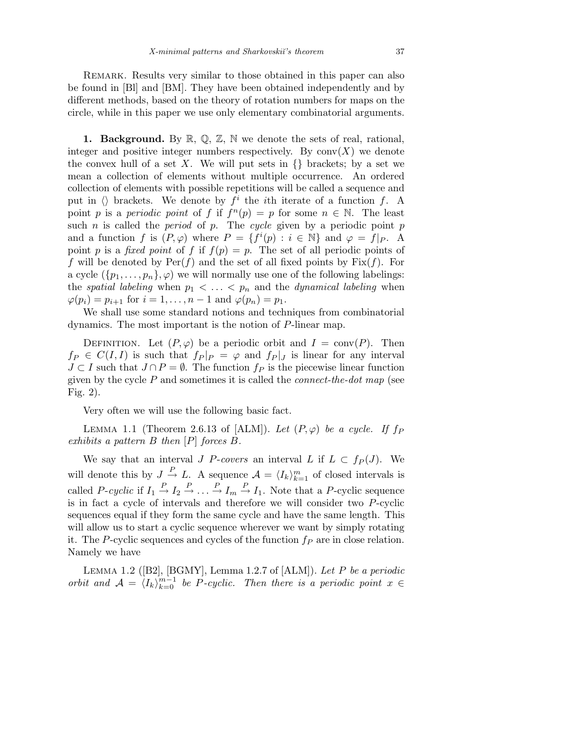Remark. Results very similar to those obtained in this paper can also be found in [Bl] and [BM]. They have been obtained independently and by different methods, based on the theory of rotation numbers for maps on the circle, while in this paper we use only elementary combinatorial arguments.

1. Background. By  $\mathbb{R}, \mathbb{Q}, \mathbb{Z}, \mathbb{N}$  we denote the sets of real, rational, integer and positive integer numbers respectively. By  $conv(X)$  we denote the convex hull of a set X. We will put sets in  $\{\}$  brackets; by a set we mean a collection of elements without multiple occurrence. An ordered collection of elements with possible repetitions will be called a sequence and put in  $\langle\rangle$  brackets. We denote by  $f^i$  the *i*th iterate of a function f. A point p is a periodic point of f if  $f^{(n)}(p) = p$  for some  $n \in \mathbb{N}$ . The least such *n* is called the *period* of *p*. The cycle given by a periodic point *p* and a function f is  $(P, \varphi)$  where  $P = \{f^i(p) : i \in \mathbb{N}\}\$ and  $\varphi = f|_P$ . A point p is a fixed point of f if  $f(p) = p$ . The set of all periodic points of f will be denoted by  $\text{Per}(f)$  and the set of all fixed points by  $\text{Fix}(f)$ . For a cycle  $({p_1, \ldots, p_n}, \varphi)$  we will normally use one of the following labelings: the spatial labeling when  $p_1 < \ldots < p_n$  and the dynamical labeling when  $\varphi(p_i) = p_{i+1}$  for  $i = 1, \ldots, n-1$  and  $\varphi(p_n) = p_1$ .

We shall use some standard notions and techniques from combinatorial dynamics. The most important is the notion of P-linear map.

DEFINITION. Let  $(P, \varphi)$  be a periodic orbit and  $I = \text{conv}(P)$ . Then  $f_P \in C(I,I)$  is such that  $f_P|_P = \varphi$  and  $f_P|_J$  is linear for any interval  $J \subset I$  such that  $J \cap P = \emptyset$ . The function  $f_P$  is the piecewise linear function given by the cycle  $P$  and sometimes it is called the *connect-the-dot map* (see Fig. 2).

Very often we will use the following basic fact.

LEMMA 1.1 (Theorem 2.6.13 of [ALM]). Let  $(P, \varphi)$  be a cycle. If  $f_P$ exhibits a pattern  $B$  then  $[P]$  forces  $B$ .

We say that an interval J P-covers an interval L if  $L \subset f_P(J)$ . We will denote this by  $J \stackrel{P}{\to} L$ . A sequence  $\mathcal{A} = \langle I_k \rangle_{k=1}^m$  of closed intervals is called P-cyclic if  $I_1 \stackrel{P}{\to} I_2 \stackrel{P}{\to} \ldots \stackrel{P}{\to} I_m \stackrel{P}{\to} I_1$ . Note that a P-cyclic sequence is in fact a cycle of intervals and therefore we will consider two P-cyclic sequences equal if they form the same cycle and have the same length. This will allow us to start a cyclic sequence wherever we want by simply rotating it. The P-cyclic sequences and cycles of the function  $f_P$  are in close relation. Namely we have

LEMMA 1.2 ( $[B2]$ ,  $[BGMY]$ , Lemma 1.2.7 of  $[ALM]$ ). Let P be a periodic orbit and  $\mathcal{A} = \langle I_k \rangle_{k=0}^{m-1}$  be P-cyclic. Then there is a periodic point  $x \in$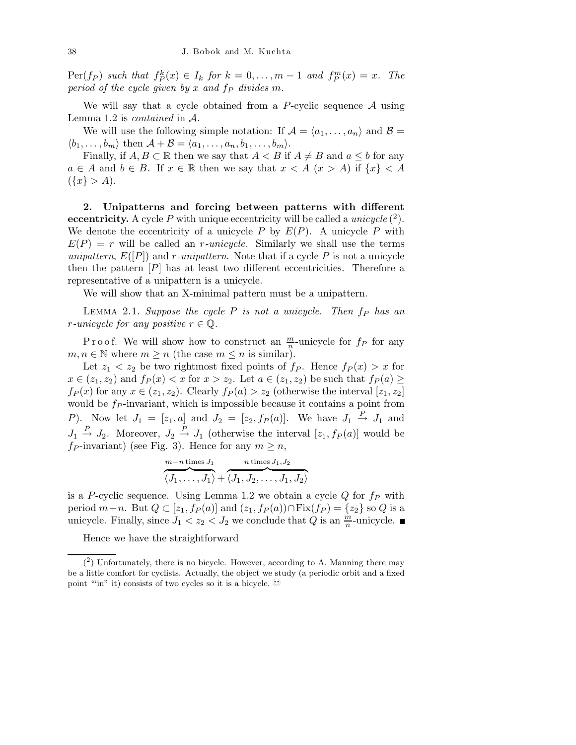$\text{Per}(f_P)$  such that  $f_P^k(x) \in I_k$  for  $k = 0, \ldots, m-1$  and  $f_P^m(x) = x$ . The period of the cycle given by x and  $f_P$  divides m.

We will say that a cycle obtained from a P-cyclic sequence  $A$  using Lemma 1.2 is contained in A.

We will use the following simple notation: If  $\mathcal{A} = \langle a_1, \ldots, a_n \rangle$  and  $\mathcal{B} =$  $\langle b_1,\ldots,b_m\rangle$  then  $\mathcal{A} + \mathcal{B} = \langle a_1,\ldots,a_n,b_1,\ldots,b_m\rangle.$ 

Finally, if  $A, B \subset \mathbb{R}$  then we say that  $A < B$  if  $A \neq B$  and  $a \leq b$  for any  $a \in A$  and  $b \in B$ . If  $x \in \mathbb{R}$  then we say that  $x < A$   $(x > A)$  if  $\{x\} < A$  $({x} > A).$ 

2. Unipatterns and forcing between patterns with different eccentricity. A cycle P with unique eccentricity will be called a *unicycle*  $(^2)$ . We denote the eccentricity of a unicycle  $P$  by  $E(P)$ . A unicycle  $P$  with  $E(P) = r$  will be called an *r*-unicycle. Similarly we shall use the terms unipattern,  $E([P])$  and r-unipattern. Note that if a cycle P is not a unicycle then the pattern  $[P]$  has at least two different eccentricities. Therefore a representative of a unipattern is a unicycle.

We will show that an X-minimal pattern must be a unipattern.

LEMMA 2.1. Suppose the cycle  $P$  is not a unicycle. Then  $f_P$  has an r-unicycle for any positive  $r \in \mathbb{Q}$ .

P r o o f. We will show how to construct an  $\frac{m}{n}$ -unicycle for  $f_P$  for any  $m, n \in \mathbb{N}$  where  $m \geq n$  (the case  $m \leq n$  is similar).

Let  $z_1 < z_2$  be two rightmost fixed points of  $f_P$ . Hence  $f_P(x) > x$  for  $x \in (z_1, z_2)$  and  $f_P(x) < x$  for  $x > z_2$ . Let  $a \in (z_1, z_2)$  be such that  $f_P(a) \ge$  $f_P(x)$  for any  $x \in (z_1, z_2)$ . Clearly  $f_P(a) > z_2$  (otherwise the interval  $[z_1, z_2]$ ) would be  $f_P$ -invariant, which is impossible because it contains a point from P). Now let  $J_1 = [z_1, a]$  and  $J_2 = [z_2, f_P(a)]$ . We have  $J_1 \stackrel{P}{\rightarrow} J_1$  and  $J_1 \stackrel{P}{\rightarrow} J_2$ . Moreover,  $J_2 \stackrel{P}{\rightarrow} J_1$  (otherwise the interval  $[z_1, f_P(a)]$  would be  $fp$ -invariant) (see Fig. 3). Hence for any  $m \geq n$ ,

$$
\overbrace{\langle J_1,\ldots,J_1\rangle}^{m-n \text{ times } J_1} + \overbrace{\langle J_1,J_2,\ldots,J_1,J_2\rangle}^{n \text{ times } J_1,J_2}
$$

is a P-cyclic sequence. Using Lemma 1.2 we obtain a cycle  $Q$  for  $f_P$  with period  $m+n$ . But  $Q \subset [z_1, f_P(a)]$  and  $(z_1, f_P(a)) \cap \text{Fix}(f_P) = \{z_2\}$  so  $Q$  is a unicycle. Finally, since  $J_1 < z_2 < J_2$  we conclude that Q is an  $\frac{m}{n}$ -unicycle.

Hence we have the straightforward

 $(2)$  Unfortunately, there is no bicycle. However, according to A. Manning there may be a little comfort for cyclists. Actually, the object we study (a periodic orbit and a fixed point ""in" it) consists of two cycles so it is a bicycle.  $\mathcal{Q}$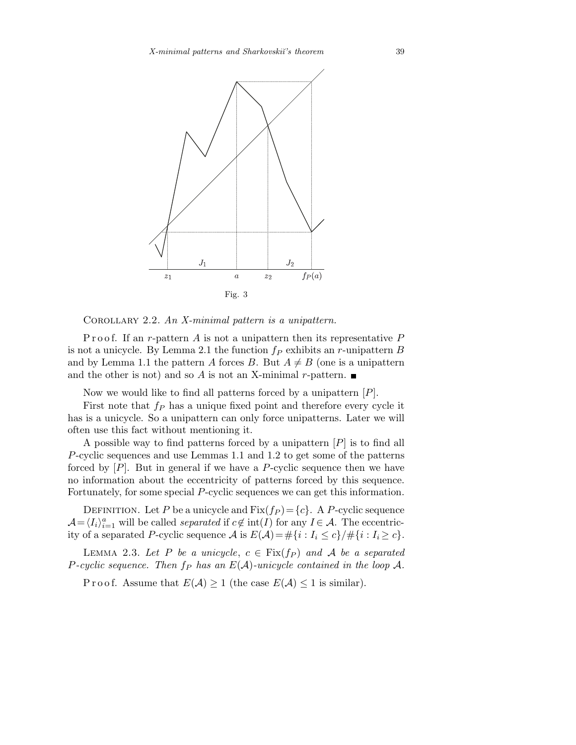

Corollary 2.2. An X-minimal pattern is a unipattern.

P r o o f. If an r-pattern A is not a unipattern then its representative  $P$ is not a unicycle. By Lemma 2.1 the function  $f_P$  exhibits an r-unipattern B and by Lemma 1.1 the pattern A forces B. But  $A \neq B$  (one is a unipattern and the other is not) and so A is not an X-minimal r-pattern.  $\blacksquare$ 

Now we would like to find all patterns forced by a unipattern  $[P]$ .

First note that  $f_P$  has a unique fixed point and therefore every cycle it has is a unicycle. So a unipattern can only force unipatterns. Later we will often use this fact without mentioning it.

A possible way to find patterns forced by a unipattern  $[P]$  is to find all P-cyclic sequences and use Lemmas 1.1 and 1.2 to get some of the patterns forced by  $[P]$ . But in general if we have a P-cyclic sequence then we have no information about the eccentricity of patterns forced by this sequence. Fortunately, for some special P-cyclic sequences we can get this information.

DEFINITION. Let P be a unicycle and  $Fix(f_P) = \{c\}$ . A P-cyclic sequence  $\mathcal{A} = \langle I_i \rangle_{i=1}^a$  will be called *separated* if  $c \notin \text{int}(I)$  for any  $I \in \mathcal{A}$ . The eccentricity of a separated P-cyclic sequence A is  $E(\mathcal{A}) = \#\{i : I_i \le c\} / \#\{i : I_i \ge c\}.$ 

LEMMA 2.3. Let P be a unicycle,  $c \in Fix(f_P)$  and A be a separated P-cyclic sequence. Then  $f_P$  has an  $E(A)$ -unicycle contained in the loop A.

P r o o f. Assume that  $E(\mathcal{A}) \geq 1$  (the case  $E(\mathcal{A}) \leq 1$  is similar).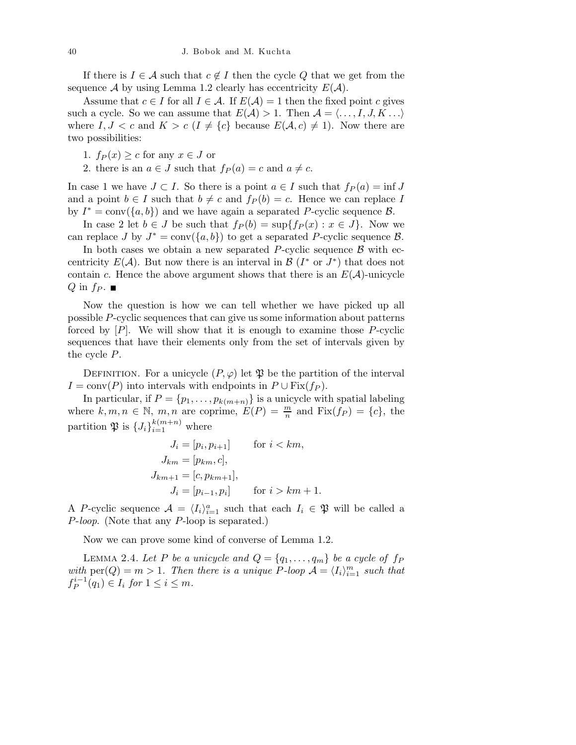If there is  $I \in \mathcal{A}$  such that  $c \notin I$  then the cycle Q that we get from the sequence A by using Lemma 1.2 clearly has eccentricity  $E(A)$ .

Assume that  $c \in I$  for all  $I \in \mathcal{A}$ . If  $E(\mathcal{A}) = 1$  then the fixed point c gives such a cycle. So we can assume that  $E(\mathcal{A}) > 1$ . Then  $\mathcal{A} = \langle \dots, I, J, K \dots \rangle$ where  $I, J < c$  and  $K > c$  ( $I \neq \{c\}$  because  $E(A, c) \neq 1$ ). Now there are two possibilities:

- 1.  $f_P(x) \geq c$  for any  $x \in J$  or
- 2. there is an  $a \in J$  such that  $f_P(a) = c$  and  $a \neq c$ .

In case 1 we have  $J \subset I$ . So there is a point  $a \in I$  such that  $f_P(a) = \inf J$ and a point  $b \in I$  such that  $b \neq c$  and  $f_P (b) = c$ . Hence we can replace I by  $I^* = \text{conv}(\{a, b\})$  and we have again a separated P-cyclic sequence  $\mathcal{B}$ .

In case 2 let  $b \in J$  be such that  $f_P(b) = \sup\{f_P(x) : x \in J\}$ . Now we can replace J by  $J^* = \text{conv}(\{a, b\})$  to get a separated P-cyclic sequence  $\mathcal{B}$ .

In both cases we obtain a new separated P-cyclic sequence  $\beta$  with eccentricity  $E(\mathcal{A})$ . But now there is an interval in  $\mathcal{B}(I^* \text{ or } J^*)$  that does not contain c. Hence the above argument shows that there is an  $E(\mathcal{A})$ -unicycle  $Q$  in  $f_P$ .

Now the question is how we can tell whether we have picked up all possible P-cyclic sequences that can give us some information about patterns forced by  $[P]$ . We will show that it is enough to examine those  $P$ -cyclic sequences that have their elements only from the set of intervals given by the cycle P.

DEFINITION. For a unicycle  $(P, \varphi)$  let  $\mathfrak P$  be the partition of the interval  $I = \text{conv}(P)$  into intervals with endpoints in  $P \cup \text{Fix}(f_P)$ .

In particular, if  $P = \{p_1, \ldots, p_{k(m+n)}\}$  is a unicycle with spatial labeling where  $k, m, n \in \mathbb{N}$ ,  $m, n$  are coprime,  $E(P) = \frac{m}{n}$  and  $Fix(f_P) = \{c\}$ , the partition  $\mathfrak{P}$  is  $\{J_i\}_{i=1}^{k(m+n)}$  where

$$
J_i = [p_i, p_{i+1}] \quad \text{for } i < km,
$$
\n
$$
J_{km} = [p_{km}, c],
$$
\n
$$
J_{km+1} = [c, p_{km+1}],
$$
\n
$$
J_i = [p_{i-1}, p_i] \quad \text{for } i > km+1.
$$

A P-cyclic sequence  $\mathcal{A} = \langle I_i \rangle_{i=1}^a$  such that each  $I_i \in \mathfrak{P}$  will be called a P-loop. (Note that any P-loop is separated.)

Now we can prove some kind of converse of Lemma 1.2.

LEMMA 2.4. Let P be a unicycle and  $Q = \{q_1, \ldots, q_m\}$  be a cycle of  $f_P$ with  $\text{per}(Q) = m > 1$ . Then there is a unique P-loop  $\mathcal{A} = \langle I_i \rangle_{i=1}^m$  such that  $f_P^{i-1}(q_1) \in I_i$  for  $1 \leq i \leq m$ .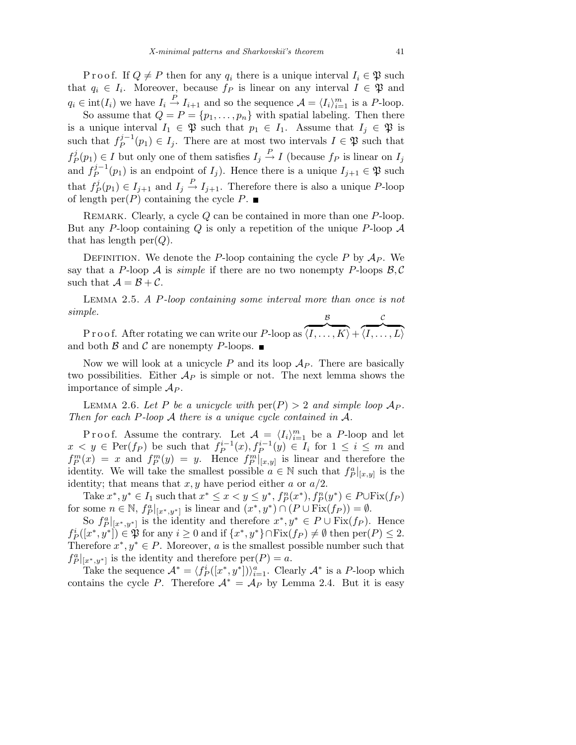P r o o f. If  $Q \neq P$  then for any  $q_i$  there is a unique interval  $I_i \in \mathfrak{P}$  such that  $q_i \in I_i$ . Moreover, because  $f_P$  is linear on any interval  $I \in \mathfrak{P}$  and  $q_i \in \text{int}(I_i)$  we have  $I_i \stackrel{P}{\to} I_{i+1}$  and so the sequence  $\mathcal{A} = \langle I_i \rangle_{i=1}^m$  is a P-loop.

So assume that  $Q = P = \{p_1, \ldots, p_n\}$  with spatial labeling. Then there is a unique interval  $I_1 \in \mathfrak{P}$  such that  $p_1 \in I_1$ . Assume that  $I_j \in \mathfrak{P}$  is such that  $f_P^{j-1}$  $P_P^{j-1}(p_1) \in I_j$ . There are at most two intervals  $I \in \mathfrak{P}$  such that  $f^j_{\scriptscriptstyle F}$  $P_P^j(p_1) \in I$  but only one of them satisfies  $I_j \stackrel{P}{\to} I$  (because  $f_P$  is linear on  $I_j$ and  $f_P^{j-1}$  $P_P^{j-1}(p_1)$  is an endpoint of  $I_j$ ). Hence there is a unique  $I_{j+1} \in \mathfrak{P}$  such that  $f_F^j$  $P_P^j(p_1) \in I_{j+1}$  and  $I_j \stackrel{P}{\rightarrow} I_{j+1}$ . Therefore there is also a unique P-loop of length  $per(P)$  containing the cycle P.  $\blacksquare$ 

REMARK. Clearly, a cycle Q can be contained in more than one P-loop. But any P-loop containing Q is only a repetition of the unique P-loop  $\mathcal A$ that has length  $per(Q)$ .

DEFINITION. We denote the P-loop containing the cycle P by  $A_P$ . We say that a P-loop A is simple if there are no two nonempty P-loops  $\beta$ , C such that  $\mathcal{A} = \mathcal{B} + \mathcal{C}$ .

Lemma 2.5. A P-loop containing some interval more than once is not simple. B C

P r o o f. After rotating we can write our P-loop as  $\langle \overline{I,\ldots,K} \rangle +$  $\langle \overline{I, \ldots, L} \rangle$ and both  $\beta$  and  $\beta$  are nonempty P-loops.

Now we will look at a unicycle P and its loop  $\mathcal{A}_P$ . There are basically two possibilities. Either  $\mathcal{A}_P$  is simple or not. The next lemma shows the importance of simple  $\mathcal{A}_P$ .

LEMMA 2.6. Let P be a unicycle with  $\text{per}(P) > 2$  and simple loop  $\mathcal{A}_P$ . Then for each P-loop  $A$  there is a unique cycle contained in  $A$ .

Proof. Assume the contrary. Let  $\mathcal{A} = \langle I_i \rangle_{i=1}^m$  be a P-loop and let  $x < y \in \text{Per}(f_P)$  be such that  $f_P^{i-1}(x), f_P^{i-1}(y) \in I_i$  for  $1 \le i \le m$  and  $f_P^m(x) = x$  and  $f_P^m(y) = y$ . Hence  $f_P^m|_{[x,y]}$  is linear and therefore the identity. We will take the smallest possible  $a \in \mathbb{N}$  such that  $f_P^a|_{[x,y]}$  is the identity; that means that  $x, y$  have period either  $a$  or  $a/2$ .

Take  $x^*, y^* \in I_1$  such that  $x^* \le x < y \le y^*, f_P^n(x^*), f_P^n(y^*) \in P \cup \text{Fix}(f_P)$ for some  $n \in \mathbb{N}$ ,  $f_P^a|_{[x^*,y^*]}$  is linear and  $(x^*,y^*) \cap (P \cup \text{Fix}(f_P)) = \emptyset$ .

So  $f_P^a|_{[x^*,y^*]}$  is the identity and therefore  $x^*,y^* \in P \cup Fix(f_P)$ . Hence  $f_P^i([x^*,y^*]) \in \mathfrak{P}$  for any  $i \geq 0$  and if  $\{x^*,y^*\} \cap \text{Fix}(f_P) \neq \emptyset$  then  $\text{per}(P) \leq 2$ . Therefore  $x^*, y^* \in P$ . Moreover, a is the smallest possible number such that  $f_P^a|_{[x^*,y^*]}$  is the identity and therefore  $per(P) = a$ .

Take the sequence  $\mathcal{A}^* = \langle f_P^i([x^*, y^*]) \rangle_{i=1}^a$ . Clearly  $\mathcal{A}^*$  is a P-loop which contains the cycle P. Therefore  $A^* = A_P$  by Lemma 2.4. But it is easy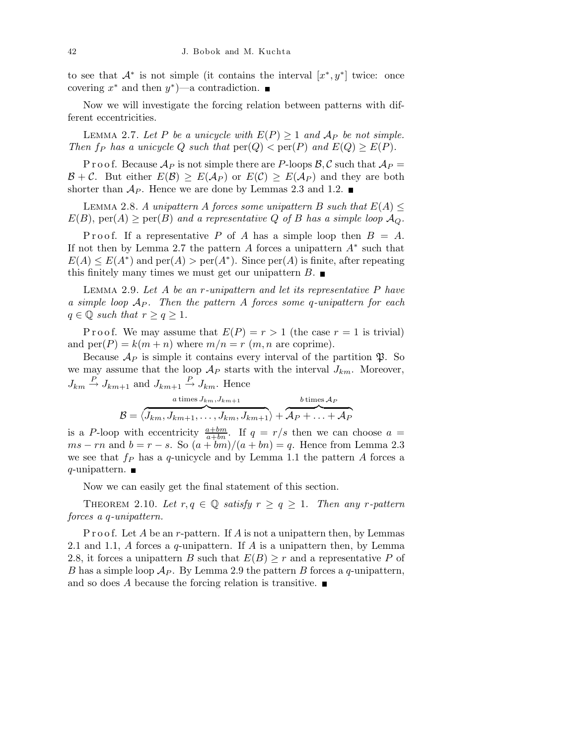to see that  $\mathcal{A}^*$  is not simple (it contains the interval  $[x^*, y^*]$  twice: once covering  $x^*$  and then  $y^*$ )—a contradiction.

Now we will investigate the forcing relation between patterns with different eccentricities.

LEMMA 2.7. Let P be a unicycle with  $E(P) \ge 1$  and  $A_P$  be not simple. Then  $f_P$  has a unicycle Q such that  $\text{per}(Q) < \text{per}(P)$  and  $E(Q) \geq E(P)$ .

P r o o f. Because  $\mathcal{A}_P$  is not simple there are P-loops  $\mathcal{B}, \mathcal{C}$  such that  $\mathcal{A}_P =$  $\mathcal{B} + \mathcal{C}$ . But either  $E(\mathcal{B}) \geq E(\mathcal{A}_P)$  or  $E(\mathcal{C}) \geq E(\mathcal{A}_P)$  and they are both shorter than  $\mathcal{A}_P$ . Hence we are done by Lemmas 2.3 and 1.2.

LEMMA 2.8. A unipattern A forces some unipattern B such that  $E(A) \leq$  $E(B)$ , per(A)  $\geq$  per(B) and a representative Q of B has a simple loop  $\mathcal{A}_{Q}$ .

P r o o f. If a representative P of A has a simple loop then  $B = A$ . If not then by Lemma 2.7 the pattern  $A$  forces a unipattern  $A^*$  such that  $E(A) \leq E(A^*)$  and  $per(A) > per(A^*)$ . Since  $per(A)$  is finite, after repeating this finitely many times we must get our unipattern  $B$ .

Lemma 2.9. Let A be an r-unipattern and let its representative P have a simple loop  $A_P$ . Then the pattern A forces some q-unipattern for each  $q \in \mathbb{Q}$  such that  $r \geq q \geq 1$ .

P r o o f. We may assume that  $E(P) = r > 1$  (the case  $r = 1$  is trivial) and  $per(P) = k(m+n)$  where  $m/n = r(m, n$  are coprime).

Because  $\mathcal{A}_P$  is simple it contains every interval of the partition  $\mathfrak{P}$ . So we may assume that the loop  $\mathcal{A}_P$  starts with the interval  $J_{km}$ . Moreover,  $J_{km} \stackrel{P}{\rightarrow} J_{km+1}$  and  $J_{km+1} \stackrel{P}{\rightarrow} J_{km}$ . Hence

$$
\mathcal{B} = \langle \overbrace{J_{km}, J_{km+1}, \ldots, J_{km}, J_{km+1}}^{a \text{ times } J_{km}, J_{km+1}} \rangle + \overbrace{\mathcal{A}_{P} + \ldots + \mathcal{A}_{P}}^{b \text{ times } \mathcal{A}_{P}}
$$

is a P-loop with eccentricity  $\frac{a+bm}{a+bn}$ . If  $q = r/s$  then we can choose  $a =$  $ms - rn$  and  $b = r - s$ . So  $(a + bm)/(a + bn) = q$ . Hence from Lemma 2.3 we see that  $f_P$  has a q-unicycle and by Lemma 1.1 the pattern A forces a  $q$ -unipattern.

Now we can easily get the final statement of this section.

THEOREM 2.10. Let  $r, q \in \mathbb{Q}$  satisfy  $r \geq q \geq 1$ . Then any r-pattern forces a q-unipattern.

P r o o f. Let A be an r-pattern. If A is not a unipattern then, by Lemmas 2.1 and 1.1, A forces a q-unipattern. If A is a unipattern then, by Lemma 2.8, it forces a unipattern B such that  $E(B) \geq r$  and a representative P of B has a simple loop  $\mathcal{A}_P$ . By Lemma 2.9 the pattern B forces a q-unipattern, and so does A because the forcing relation is transitive.  $\blacksquare$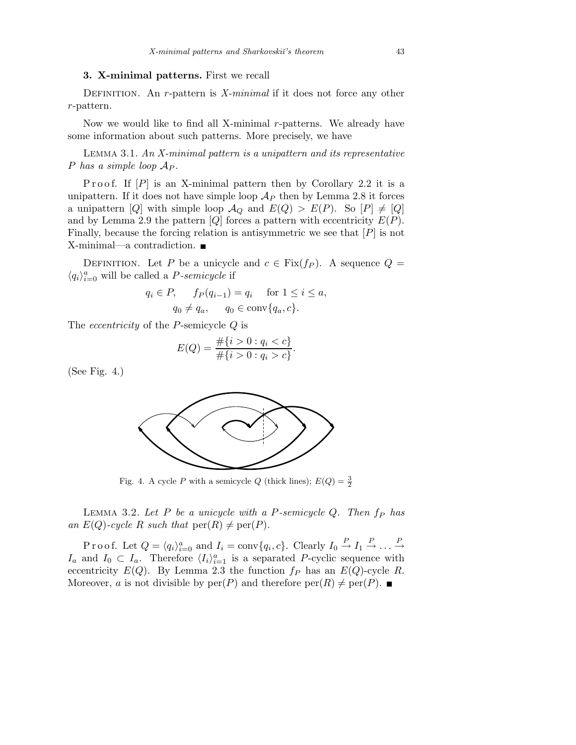### 3. X-minimal patterns. First we recall

DEFINITION. An r-pattern is X-minimal if it does not force any other r-pattern.

Now we would like to find all X-minimal r-patterns. We already have some information about such patterns. More precisely, we have

LEMMA 3.1. An  $X$ -minimal pattern is a unipattern and its representative P has a simple loop  $A_P$ .

Proof. If  $[P]$  is an X-minimal pattern then by Corollary 2.2 it is a unipattern. If it does not have simple loop  $\mathcal{A}_P$  then by Lemma 2.8 it forces a unipattern [Q] with simple loop  $\mathcal{A}_{Q}$  and  $E(Q) > E(P)$ . So  $[P] \neq [Q]$ and by Lemma 2.9 the pattern  $[Q]$  forces a pattern with eccentricity  $E(P)$ . Finally, because the forcing relation is antisymmetric we see that  $[P]$  is not X-minimal—a contradiction.

DEFINITION. Let P be a unicycle and  $c \in Fix(f_P)$ . A sequence  $Q =$  $\langle q_i \rangle_{i=0}^a$  will be called a *P-semicycle* if

$$
q_i \in P, \qquad f_P(q_{i-1}) = q_i \quad \text{for } 1 \le i \le a,
$$
  

$$
q_0 \ne q_a, \qquad q_0 \in \text{conv}\{q_a, c\}.
$$

The eccentricity of the P-semicycle Q is

$$
E(Q) = \frac{\#\{i > 0 : q_i < c\}}{\#\{i > 0 : q_i > c\}}.
$$

(See Fig. 4.)



Fig. 4. A cycle  $P$  with a semicycle  $Q$  (thick lines);  $E(Q) = \frac{3}{2}$ 

LEMMA 3.2. Let  $P$  be a unicycle with a P-semicycle  $Q$ . Then  $f_P$  has an  $E(Q)$ -cycle R such that  $\text{per}(R) \neq \text{per}(P)$ .

P r o o f. Let  $Q = \langle q_i \rangle_{i=0}^a$  and  $I_i = \text{conv}\{q_i, c\}$ . Clearly  $I_0 \stackrel{P}{\rightarrow} I_1 \stackrel{P}{\rightarrow} \ldots \stackrel{P}{\rightarrow}$  $I_a$  and  $I_0 \subset I_a$ . Therefore  $\langle I_i \rangle_{i=1}^a$  is a separated P-cyclic sequence with eccentricity  $E(Q)$ . By Lemma 2.3 the function  $f_P$  has an  $E(Q)$ -cycle R. Moreover, a is not divisible by  $per(P)$  and therefore  $per(R) \neq per(P)$ .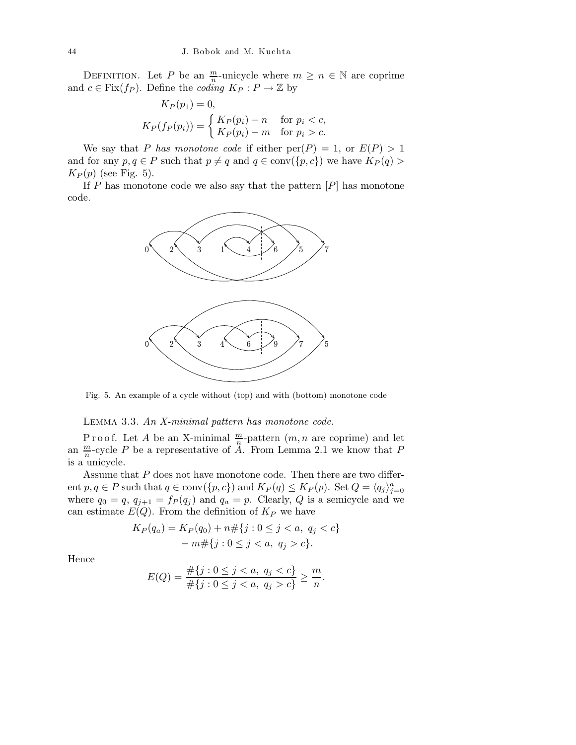DEFINITION. Let P be an  $\frac{m}{n}$ -unicycle where  $m \geq n \in \mathbb{N}$  are coprime and  $c \in Fix(f_P)$ . Define the *coding*  $K_P: P \to \mathbb{Z}$  by

$$
K_P(p_1) = 0,
$$
  
\n
$$
K_P(f_P(p_i)) = \begin{cases} K_P(p_i) + n & \text{for } p_i < c, \\ K_P(p_i) - m & \text{for } p_i > c. \end{cases}
$$

We say that P has monotone code if either  $per(P) = 1$ , or  $E(P) > 1$ and for any  $p, q \in P$  such that  $p \neq q$  and  $q \in \text{conv}(\{p, c\})$  we have  $K_P(q)$  $K_P(p)$  (see Fig. 5).

If  $P$  has monotone code we also say that the pattern  $[P]$  has monotone code.



Fig. 5. An example of a cycle without (top) and with (bottom) monotone code

LEMMA 3.3. An X-minimal pattern has monotone code.

Proof. Let A be an X-minimal  $\frac{m}{n}$ -pattern  $(m, n$  are coprime) and let an  $\frac{m}{n}$ -cycle P be a representative of  $\ddot{A}$ . From Lemma 2.1 we know that P is a unicycle.

Assume that  $P$  does not have monotone code. Then there are two different  $p, q \in P$  such that  $q \in \text{conv}(\{p, c\})$  and  $K_P(q) \leq K_P(p)$ . Set  $Q = \langle q_j \rangle_{j=0}^a$ where  $q_0 = q$ ,  $q_{j+1} = f_P(q_j)$  and  $q_a = p$ . Clearly, Q is a semicycle and we can estimate  $E(Q)$ . From the definition of  $K_P$  we have

$$
K_P(q_a) = K_P(q_0) + n \# \{j : 0 \le j < a, \ q_j < c\}
$$
\n
$$
- m \# \{j : 0 \le j < a, \ q_j > c\}.
$$

Hence

$$
E(Q) = \frac{\#\{j : 0 \le j < a, \ q_j < c\}}{\#\{j : 0 \le j < a, \ q_j > c\}} \ge \frac{m}{n}.
$$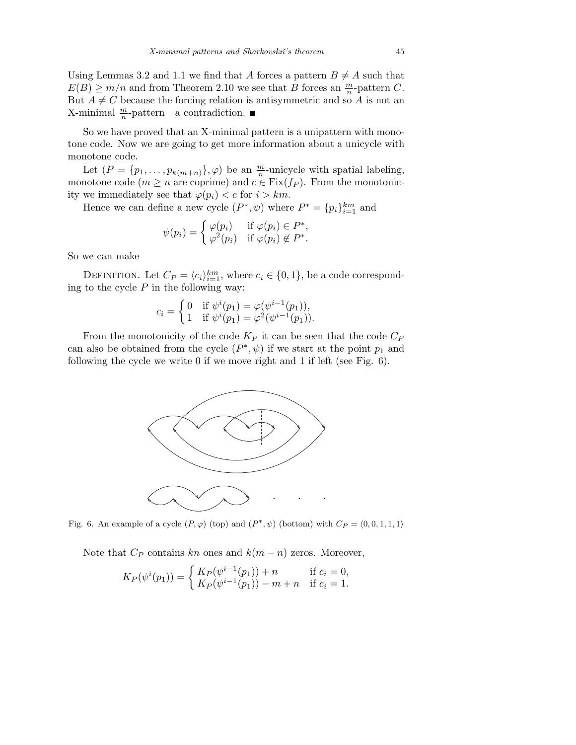Using Lemmas 3.2 and 1.1 we find that A forces a pattern  $B \neq A$  such that  $E(B) \ge m/n$  and from Theorem 2.10 we see that B forces an  $\frac{m}{n}$ -pattern C. But  $A \neq C$  because the forcing relation is antisymmetric and so A is not an X-minimal  $\frac{m}{n}$ -pattern—a contradiction.

So we have proved that an X-minimal pattern is a unipattern with monotone code. Now we are going to get more information about a unicycle with monotone code.

Let  $(P = \{p_1, \ldots, p_{k(m+n)}\}, \varphi)$  be an  $\frac{m}{n}$ -unicycle with spatial labeling, monotone code  $(m \geq n$  are coprime) and  $c \in \text{Fix}(f_P)$ . From the monotonicity we immediately see that  $\varphi(p_i) < c$  for  $i > km$ .

Hence we can define a new cycle  $(P^*, \psi)$  where  $P^* = \{p_i\}_{i=1}^{km}$  and

$$
\psi(p_i) = \begin{cases} \varphi(p_i) & \text{if } \varphi(p_i) \in P^*, \\ \varphi^2(p_i) & \text{if } \varphi(p_i) \notin P^*. \end{cases}
$$

So we can make

DEFINITION. Let  $C_P = \langle c_i \rangle_{i=1}^{km}$ , where  $c_i \in \{0, 1\}$ , be a code corresponding to the cycle  $P$  in the following way:

$$
c_i = \begin{cases} 0 & \text{if } \psi^i(p_1) = \varphi(\psi^{i-1}(p_1)), \\ 1 & \text{if } \psi^i(p_1) = \varphi^2(\psi^{i-1}(p_1)). \end{cases}
$$

From the monotonicity of the code  $K_P$  it can be seen that the code  $C_P$ can also be obtained from the cycle  $(P^*, \psi)$  if we start at the point  $p_1$  and following the cycle we write 0 if we move right and 1 if left (see Fig. 6).



Fig. 6. An example of a cycle  $(P, \varphi)$  (top) and  $(P^*, \psi)$  (bottom) with  $C_P = \langle 0, 0, 1, 1, 1 \rangle$ 

Note that  $C_P$  contains kn ones and  $k(m - n)$  zeros. Moreover,

$$
K_P(\psi^i(p_1)) = \begin{cases} K_P(\psi^{i-1}(p_1)) + n & \text{if } c_i = 0, \\ K_P(\psi^{i-1}(p_1)) - m + n & \text{if } c_i = 1. \end{cases}
$$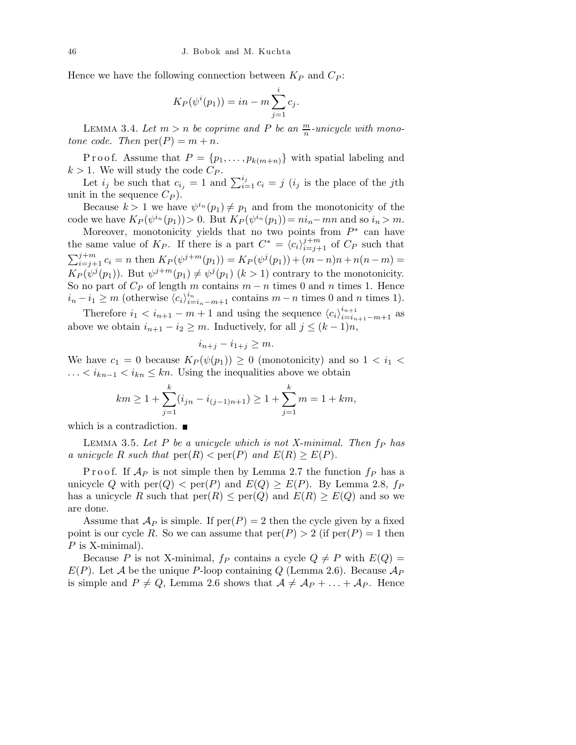Hence we have the following connection between  $K_P$  and  $C_P$ :

$$
K_P(\psi^i(p_1)) = in - m \sum_{j=1}^i c_j.
$$

LEMMA 3.4. Let  $m > n$  be coprime and P be an  $\frac{m}{n}$ -unicycle with monotone code. Then  $per(P) = m + n$ .

P r o o f. Assume that  $P = \{p_1, \ldots, p_{k(m+n)}\}$  with spatial labeling and  $k > 1$ . We will study the code  $C_P$ .

Let  $i_j$  be such that  $c_{i_j} = 1$  and  $\sum_{i=1}^{i_j} c_i = j$  ( $i_j$  is the place of the jth unit in the sequence  $C_P$ ).

Because  $k > 1$  we have  $\psi^{i_n}(p_1) \neq p_1$  and from the monotonicity of the code we have  $K_P(\psi^{i_n}(p_1)) > 0$ . But  $K_P(\psi^{i_n}(p_1)) = ni_n - mn$  and so  $i_n > m$ .

Moreover, monotonicity yields that no two points from  $P^*$  can have the same value of  $K_P$ . If there is a part  $C^* = \langle c_i \rangle_{i=j+1}^{j+m}$  of  $C_P$  such that  $\sum_{i=j+1}^{j+m} c_i = n$  then  $K_P(\psi^{j+m}(p_1)) = K_P(\psi^{j}(p_1)) + (m-n)n + n(n-m) =$  $K_P(\psi^j(p_1))$ . But  $\psi^{j+m}(p_1) \neq \psi^j(p_1)$   $(k > 1)$  contrary to the monotonicity. So no part of  $C_P$  of length m contains  $m - n$  times 0 and n times 1. Hence  $i_n - i_1 \geq m$  (otherwise  $\langle c_i \rangle_{i=i_n-m+1}^{i_n}$  contains  $m-n$  times 0 and n times 1).

Therefore  $i_1 < i_{n+1} - m + 1$  and using the sequence  $\langle c_i \rangle_{i=i_{n+1}-m+1}^{i_{n+1}}$  as above we obtain  $i_{n+1} - i_2 \geq m$ . Inductively, for all  $j \leq (k-1)n$ ,

$$
i_{n+j} - i_{1+j} \ge m.
$$

We have  $c_1 = 0$  because  $K_P(\psi(p_1)) \geq 0$  (monotonicity) and so  $1 < i_1 <$ ...  $\langle i_{kn-1} \rangle \langle i_{kn} \rangle \leq kn$ . Using the inequalities above we obtain

$$
km \ge 1 + \sum_{j=1}^{k} (i_{jn} - i_{(j-1)n+1}) \ge 1 + \sum_{j=1}^{k} m = 1 + km,
$$

which is a contradiction.  $\blacksquare$ 

LEMMA 3.5. Let P be a unicycle which is not X-minimal. Then  $f_P$  has a unicycle R such that  $\text{per}(R) < \text{per}(P)$  and  $E(R) \geq E(P)$ .

P r o o f. If  $A_P$  is not simple then by Lemma 2.7 the function  $f_P$  has a unicycle Q with  $\text{per}(Q) < \text{per}(P)$  and  $E(Q) \geq E(P)$ . By Lemma 2.8,  $f_P$ has a unicycle R such that  $\text{per}(R) \le \text{per}(Q)$  and  $E(R) \ge E(Q)$  and so we are done.

Assume that  $\mathcal{A}_P$  is simple. If  $per(P) = 2$  then the cycle given by a fixed point is our cycle R. So we can assume that  $\text{per}(P) > 2$  (if  $\text{per}(P) = 1$  then  $P$  is X-minimal).

Because P is not X-minimal,  $f_P$  contains a cycle  $Q \neq P$  with  $E(Q)$  =  $E(P)$ . Let A be the unique P-loop containing Q (Lemma 2.6). Because  $\mathcal{A}_P$ is simple and  $P \neq Q$ , Lemma 2.6 shows that  $\mathcal{A} \neq \mathcal{A}_P + \ldots + \mathcal{A}_P$ . Hence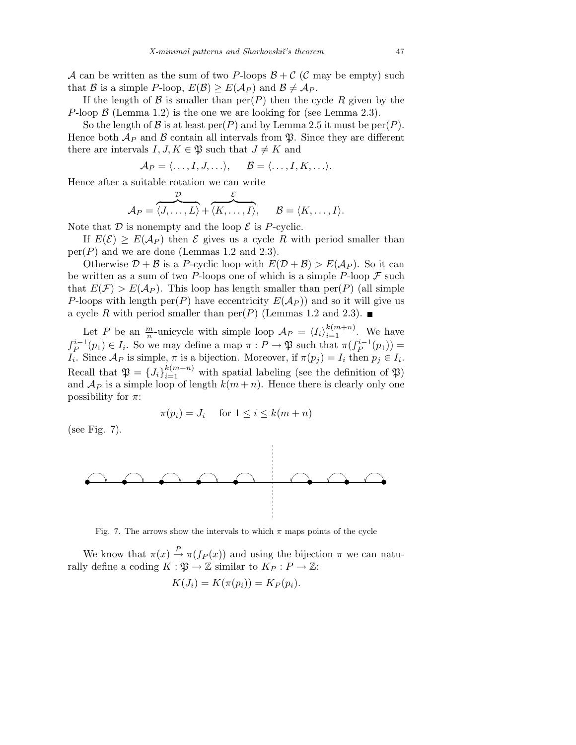A can be written as the sum of two P-loops  $\mathcal{B} + \mathcal{C}$  (C may be empty) such that B is a simple P-loop,  $E(\mathcal{B}) \ge E(\mathcal{A}_P)$  and  $\mathcal{B} \ne \mathcal{A}_P$ .

If the length of  $\mathcal B$  is smaller than  $per(P)$  then the cycle R given by the P-loop  $\beta$  (Lemma 1.2) is the one we are looking for (see Lemma 2.3).

So the length of B is at least  $per(P)$  and by Lemma 2.5 it must be  $per(P)$ . Hence both  $\mathcal{A}_P$  and  $\mathcal B$  contain all intervals from  $\mathfrak P$ . Since they are different there are intervals  $I, J, K \in \mathfrak{P}$  such that  $J \neq K$  and

$$
\mathcal{A}_P = \langle \ldots, I, J, \ldots \rangle, \quad \mathcal{B} = \langle \ldots, I, K, \ldots \rangle.
$$

Hence after a suitable rotation we can write

$$
\mathcal{A}_P = \overbrace{\langle J,\ldots,L\rangle}^{\mathcal{D}} + \overbrace{\langle K,\ldots,I\rangle}^{\mathcal{E}}, \qquad \mathcal{B} = \langle K,\ldots,I\rangle.
$$

Note that  $D$  is nonempty and the loop  $\mathcal E$  is P-cyclic.

If  $E(\mathcal{E}) > E(\mathcal{A}_P)$  then  $\mathcal E$  gives us a cycle R with period smaller than  $per(P)$  and we are done (Lemmas 1.2 and 2.3).

Otherwise  $D + \mathcal{B}$  is a P-cyclic loop with  $E(D + \mathcal{B}) > E(\mathcal{A}_P)$ . So it can be written as a sum of two P-loops one of which is a simple P-loop  $\mathcal F$  such that  $E(\mathcal{F}) > E(\mathcal{A}_P)$ . This loop has length smaller than per(P) (all simple P-loops with length per(P) have eccentricity  $E(A_P)$  and so it will give us a cycle R with period smaller than  $per(P)$  (Lemmas 1.2 and 2.3).

Let P be an  $\frac{m}{n}$ -unicycle with simple loop  $\mathcal{A}_P = \langle I_i \rangle_{i=1}^{k(m+n)}$ . We have  $f_P^{i-1}(p_1) \in I_i$ . So we may define a map  $\pi : P \to \mathfrak{P}$  such that  $\pi(f_P^{i-1}(p_1)) =$  $I_i$ . Since  $\mathcal{A}_P$  is simple,  $\pi$  is a bijection. Moreover, if  $\pi(p_j) = I_i$  then  $p_j \in I_i$ . Recall that  $\mathfrak{P} = \{J_i\}_{i=1}^{k(m+n)}$  with spatial labeling (see the definition of  $\mathfrak{P}$ ) and  $\mathcal{A}_P$  is a simple loop of length  $k(m+n)$ . Hence there is clearly only one possibility for  $\pi$ :

$$
\pi(p_i) = J_i \quad \text{ for } 1 \le i \le k(m+n)
$$

(see Fig. 7).



Fig. 7. The arrows show the intervals to which  $\pi$  maps points of the cycle

We know that  $\pi(x) \stackrel{P}{\rightarrow} \pi(f_P(x))$  and using the bijection  $\pi$  we can naturally define a coding  $K : \mathfrak{P} \to \mathbb{Z}$  similar to  $K_P : P \to \mathbb{Z}$ :

$$
K(J_i) = K(\pi(p_i)) = K_P(p_i).
$$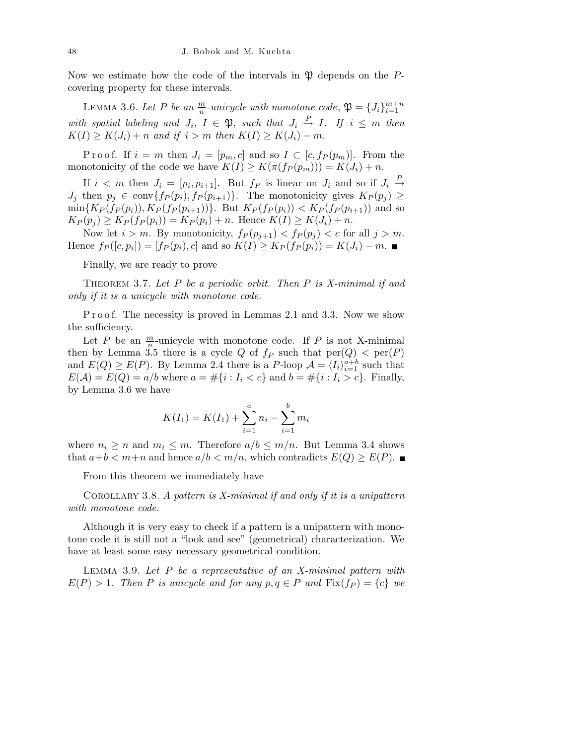Now we estimate how the code of the intervals in  $\mathfrak P$  depends on the Pcovering property for these intervals.

LEMMA 3.6. Let P be an  $\frac{m}{n}$ -unicycle with monotone code,  $\mathfrak{P} = \{J_i\}_{i=1}^{m+n}$ with spatial labeling and  $J_i$ ,  $I \in \mathfrak{P}$ , such that  $J_i \stackrel{P}{\rightarrow} I$ . If  $i \leq m$  then  $K(I) \geq K(J_i) + n$  and if  $i > m$  then  $K(I) \geq K(J_i) - m$ .

P r o o f. If  $i = m$  then  $J_i = [p_m, c]$  and so  $I \subset [c, f_P(p_m)]$ . From the monotonicity of the code we have  $K(I) \geq K(\pi(f_P(p_m))) = K(J_i) + n$ .

If  $i < m$  then  $J_i = [p_i, p_{i+1}]$ . But  $f_P$  is linear on  $J_i$  and so if  $J_i \stackrel{P}{\rightarrow}$  $J_j$  then  $p_j \in \text{conv}\{f_P(p_i), f_P(p_{i+1})\}.$  The monotonicity gives  $K_P(p_j) \geq$  $\min\{K_P(f_P(p_i)), K_P(f_P(p_{i+1}))\}.$  But  $K_P(f_P(p_i)) < K_P(f_P(p_{i+1}))$  and so  $K_P(p_i) \ge K_P(f_P(p_i)) = K_P(p_i) + n.$  Hence  $K(I) \ge K(J_i) + n.$ 

Now let  $i > m$ . By monotonicity,  $f_P(p_{j+1}) < f_P(p_j) < c$  for all  $j > m$ . Hence  $f_P([c, p_i]) = [f_P(p_i), c]$  and so  $K(I) \ge K_P(f_P(p_i)) = K(J_i) - m$ .

Finally, we are ready to prove

THEOREM 3.7. Let  $P$  be a periodic orbit. Then  $P$  is X-minimal if and only if it is a unicycle with monotone code.

P r o o f. The necessity is proved in Lemmas 2.1 and 3.3. Now we show the sufficiency.

Let P be an  $\frac{m}{n}$ -unicycle with monotone code. If P is not X-minimal then by Lemma 3.5 there is a cycle Q of  $f_P$  such that  $\text{per}(Q) < \text{per}(P)$ and  $E(Q) \ge E(P)$ . By Lemma 2.4 there is a P-loop  $\mathcal{A} = \langle I_i \rangle_{i=1}^{a+b}$  such that  $E(\mathcal{A}) = E(Q) = a/b$  where  $a = \#\{i : I_i < c\}$  and  $b = \#\{i : I_i > c\}$ . Finally, by Lemma 3.6 we have

$$
K(I_1) = K(I_1) + \sum_{i=1}^{a} n_i - \sum_{i=1}^{b} m_i
$$

where  $n_i \geq n$  and  $m_i \leq m$ . Therefore  $a/b \leq m/n$ . But Lemma 3.4 shows that  $a+b < m+n$  and hence  $a/b < m/n$ , which contradicts  $E(Q) \geq E(P)$ .

From this theorem we immediately have

COROLLARY 3.8. A pattern is X-minimal if and only if it is a unipattern with monotone code.

Although it is very easy to check if a pattern is a unipattern with monotone code it is still not a "look and see" (geometrical) characterization. We have at least some easy necessary geometrical condition.

LEMMA 3.9. Let  $P$  be a representative of an X-minimal pattern with  $E(P) > 1$ . Then P is unicycle and for any  $p, q \in P$  and  $Fix(f_P) = \{c\}$  we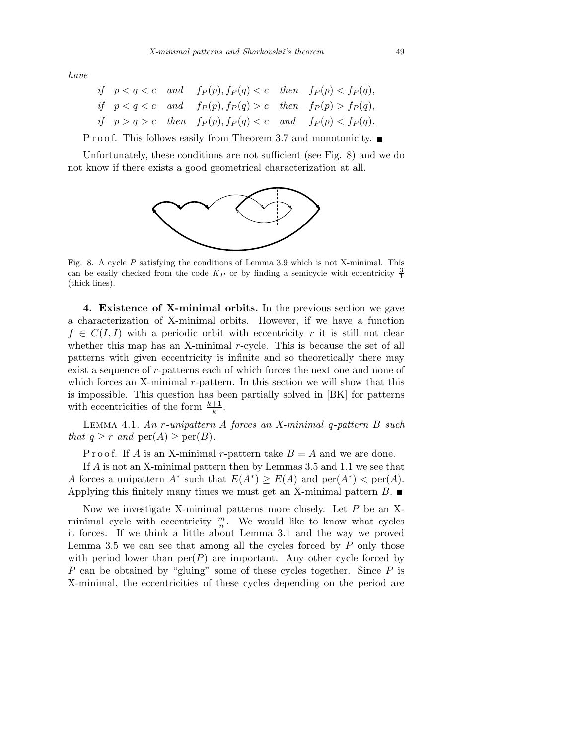have

|  | if $p < q < c$ and $f_P(p), f_P(q) < c$ then $f_P(p) < f_P(q)$ , |  |
|--|------------------------------------------------------------------|--|
|  | if $p < q < c$ and $f_P(p), f_P(q) > c$ then $f_P(p) > f_P(q)$ , |  |
|  | if $p > q > c$ then $f_P(p), f_P(q) < c$ and $f_P(p) < f_P(q)$ . |  |

**Proof.** This follows easily from Theorem 3.7 and monotonicity.  $\blacksquare$ 

Unfortunately, these conditions are not sufficient (see Fig. 8) and we do not know if there exists a good geometrical characterization at all.



Fig. 8. A cycle *P* satisfying the conditions of Lemma 3.9 which is not X-minimal. This can be easily checked from the code  $K_P$  or by finding a semicycle with eccentricity  $\frac{3}{1}$ (thick lines).

4. Existence of X-minimal orbits. In the previous section we gave a characterization of X-minimal orbits. However, if we have a function  $f \in C(I, I)$  with a periodic orbit with eccentricity r it is still not clear whether this map has an X-minimal  $r$ -cycle. This is because the set of all patterns with given eccentricity is infinite and so theoretically there may exist a sequence of r-patterns each of which forces the next one and none of which forces an X-minimal r-pattern. In this section we will show that this is impossible. This question has been partially solved in [BK] for patterns with eccentricities of the form  $\frac{k+1}{k}$ .

Lemma 4.1. An r-unipattern A forces an X-minimal q-pattern B such that  $q \geq r$  and  $\text{per}(A) \geq \text{per}(B)$ .

P r o o f. If A is an X-minimal r-pattern take  $B = A$  and we are done.

If A is not an X-minimal pattern then by Lemmas 3.5 and 1.1 we see that A forces a unipattern  $A^*$  such that  $E(A^*) \ge E(A)$  and  $\text{per}(A^*) < \text{per}(A)$ . Applying this finitely many times we must get an X-minimal pattern  $B$ .

Now we investigate X-minimal patterns more closely. Let P be an Xminimal cycle with eccentricity  $\frac{m}{n}$ . We would like to know what cycles it forces. If we think a little about Lemma 3.1 and the way we proved Lemma 3.5 we can see that among all the cycles forced by  $P$  only those with period lower than  $per(P)$  are important. Any other cycle forced by P can be obtained by "gluing" some of these cycles together. Since  $P$  is X-minimal, the eccentricities of these cycles depending on the period are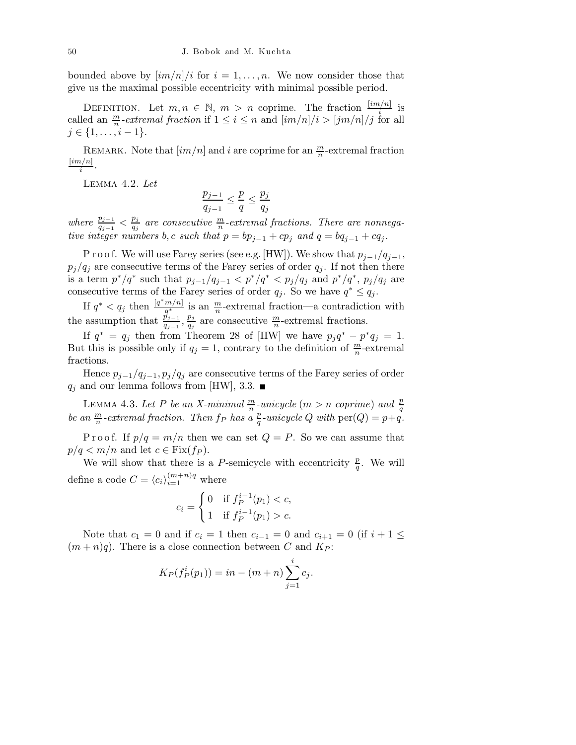bounded above by  $\left\lfloor \frac{im}{n} \right\rfloor$  for  $i = 1, \ldots, n$ . We now consider those that give us the maximal possible eccentricity with minimal possible period.

DEFINITION. Let  $m, n \in \mathbb{N}$ ,  $m > n$  coprime. The fraction  $\frac{[im/n]}{i}$  is called an  $\frac{m}{n}$ -extremal fraction if  $1 \leq i \leq n$  and  $\left[\frac{im}{n}\right]/i > \left[\frac{jm}{n}\right]/j$  for all  $j \in \{1, \ldots, i-1\}.$ 

REMARK. Note that  $\left[ im/n \right]$  and i are coprime for an  $\frac{m}{n}$ -extremal fraction  $[im/n]$  $\frac{i}{i}$ .

Lemma 4.2. Let

$$
\frac{p_{j-1}}{q_{j-1}} \le \frac{p}{q} \le \frac{p_j}{q_j}
$$

where  $\frac{p_{j-1}}{q_{j-1}} < \frac{p_j}{q_j}$  $\frac{p_j}{q_j}$  are consecutive  $\frac{m}{n}$ -extremal fractions. There are nonnegative integer numbers b,c such that  $p = bp_{j-1} + cp_j$  and  $q = bq_{j-1} + cq_j$ .

P r o o f. We will use Farey series (see e.g. [HW]). We show that  $p_{j-1}/q_{j-1}$ ,  $p_j/q_j$  are consecutive terms of the Farey series of order  $q_j$ . If not then there is a term  $p^*/q^*$  such that  $p_{j-1}/q_{j-1} < p^*/q^* < p_j/q_j$  and  $p^*/q^*$ ,  $p_j/q_j$  are consecutive terms of the Farey series of order  $q_j$ . So we have  $q^* \leq q_j$ .

If  $q^* < q_j$  then  $\frac{[q^*m/n]}{q^*}$  $\frac{m/n}{q^*}$  is an  $\frac{m}{n}$ -extremal fraction—a contradiction with the assumption that  $\frac{p_{j-1}}{q_{j-1}}, \frac{p_j}{q_j}$  $\frac{p_j}{q_j}$  are consecutive  $\frac{m}{n}$ -extremal fractions.

If  $q^* = q_j$  then from Theorem 28 of [HW] we have  $p_j q^* - p^* q_j = 1$ . But this is possible only if  $q_j = 1$ , contrary to the definition of  $\frac{m}{n}$ -extremal fractions.

Hence  $p_{j-1}/q_{j-1},p_j/q_j$  are consecutive terms of the Farey series of order  $q_i$  and our lemma follows from [HW], 3.3.

LEMMA 4.3. Let P be an X-minimal  $\frac{m}{n}$ -unicycle  $(m > n$  coprime) and  $\frac{p}{q}$ be an  $\frac{m}{n}$ -extremal fraction. Then  $f_P$  has a  $\frac{p}{q}$ -unicycle Q with  $\text{per}(Q) = p + q$ .

P r o o f. If  $p/q = m/n$  then we can set  $Q = P$ . So we can assume that  $p/q < m/n$  and let  $c \in \text{Fix}(f_P)$ .

We will show that there is a P-semicycle with eccentricity  $\frac{p}{q}$ . We will define a code  $C = \langle c_i \rangle_{i=1}^{(m+n)q}$  where

$$
c_i = \begin{cases} 0 & \text{if } f_P^{i-1}(p_1) < c, \\ 1 & \text{if } f_P^{i-1}(p_1) > c. \end{cases}
$$

Note that  $c_1 = 0$  and if  $c_i = 1$  then  $c_{i-1} = 0$  and  $c_{i+1} = 0$  (if  $i + 1 \leq$  $(m+n)q$ . There is a close connection between C and  $K_P$ :

$$
K_P(f_P^i(p_1)) = in - (m+n) \sum_{j=1}^i c_j.
$$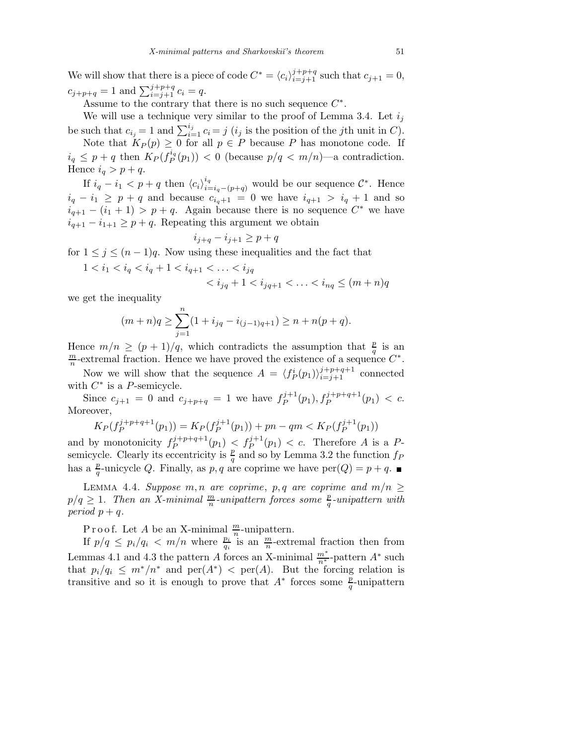We will show that there is a piece of code  $C^* = \langle c_i \rangle_{i=j+1}^{j+p+q}$  such that  $c_{j+1} = 0$ ,  $c_{j+p+q} = 1$  and  $\sum_{i=j+1}^{j+p+q} c_i = q$ .

Assume to the contrary that there is no such sequence  $C^*$ .

We will use a technique very similar to the proof of Lemma 3.4. Let  $i_j$ be such that  $c_{i_j} = 1$  and  $\sum_{i=1}^{i_j} c_i = j$  (*i<sub>j</sub>* is the position of the *j*th unit in *C*).

Note that  $K_P(p) \geq 0$  for all  $p \in P$  because P has monotone code. If  $i_q \leq p+q$  then  $K_P(f_P^{i_q})$  $P_P^{n_q}(p_1)$  < 0 (because  $p/q < m/n$ )—a contradiction. Hence  $i_q > p+q$ .

If  $i_q - i_1 < p + q$  then  $\langle c_i \rangle_{i=i_q-(p+q)}^{i_q}$  would be our sequence  $\mathcal{C}^*$ . Hence  $i_q - i_1 \geq p + q$  and because  $c_{i_q+1} = 0$  we have  $i_{q+1} > i_q + 1$  and so  $i_{q+1} - (i_1 + 1) > p + q$ . Again because there is no sequence  $C^*$  we have  $i_{q+1} - i_{1+1} \geq p+q$ . Repeating this argument we obtain

$$
i_{j+q} - i_{j+1} \ge p + q
$$

for  $1 \leq j \leq (n-1)q$ . Now using these inequalities and the fact that

 $1 < i_1 < i_q < i_q + 1 < i_{q+1} < \ldots < i_{jq}$  $\langle i_{jq}+1 \langle i_{jq+1} \langle \ldots \langle i_{nq} \rangle \langle m+n \rangle q \rangle$ 

we get the inequality

$$
(m+n)q \ge \sum_{j=1}^n (1+i_{jq}-i_{(j-1)q+1}) \ge n+n(p+q).
$$

Hence  $m/n \ge (p+1)/q$ , which contradicts the assumption that  $\frac{p}{q}$  is an m  $\frac{m}{n}$ -extremal fraction. Hence we have proved the existence of a sequence  $C^*$ .

Now we will show that the sequence  $A = \langle f_P^i(p_1) \rangle_{i=j+1}^{j+p+q+1}$  connected with  $C^*$  is a P-semicycle.

Since  $c_{j+1} = 0$  and  $c_{j+p+q} = 1$  we have  $f_P^{j+1}$  $P_P^{j+1}(p_1), f_P^{j+p+q+1}(p_1) < c.$ Moreover,

$$
K_P(f_P^{j+p+q+1}(p_1)) = K_P(f_P^{j+1}(p_1)) + pn - qm < K_P(f_P^{j+1}(p_1))
$$

and by monotonicity  $f_P^{j+p+q+1}$  $(p_1)$   $\langle f_P^{j+1}(p_1) \rangle$   $\langle c$ . Therefore A is a Psemicycle. Clearly its eccentricity is  $\frac{p}{q}$  and so by Lemma 3.2 the function  $f_P$ has a  $\frac{p}{q}$ -unicycle Q. Finally, as p, q are coprime we have  $\text{per}(Q) = p + q$ .

LEMMA 4.4. Suppose m, n are coprime, p, q are coprime and  $m/n \geq$  $p/q \geq 1$ . Then an X-minimal  $\frac{m}{n}$ -unipattern forces some  $\frac{p}{q}$ -unipattern with period  $p + q$ .

Proof. Let A be an X-minimal  $\frac{m}{n}$ -unipattern.

If  $p/q \leq p_i/q_i < m/n$  where  $\frac{p_i}{q_i}$  is an  $\frac{m}{n}$ -extremal fraction then from Lemmas 4.1 and 4.3 the pattern A forces an X-minimal  $\frac{m^*}{n^*}$ -pattern A<sup>\*</sup> such that  $p_i/q_i \leq m^*/n^*$  and  $\text{per}(A^*)$  <  $\text{per}(A)$ . But the forcing relation is transitive and so it is enough to prove that  $A^*$  forces some  $\frac{p}{q}$ -unipattern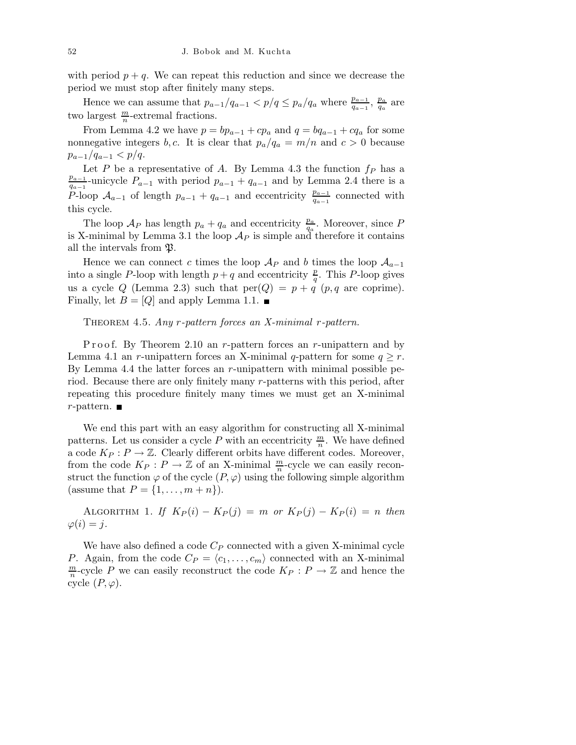with period  $p + q$ . We can repeat this reduction and since we decrease the period we must stop after finitely many steps.

Hence we can assume that  $p_{a-1}/q_{a-1} < p/q \leq p_a/q_a$  where  $\frac{p_{a-1}}{q_{a-1}}, \frac{p_a}{q_a}$  $\frac{p_a}{q_a}$  are two largest  $\frac{m}{n}$ -extremal fractions.

From Lemma 4.2 we have  $p = bp_{a-1} + cp_a$  and  $q = bq_{a-1} + cq_a$  for some nonnegative integers b,c. It is clear that  $p_a/q_a = m/n$  and  $c > 0$  because  $p_{a-1}/q_{a-1} < p/q$ .

Let P be a representative of A. By Lemma 4.3 the function  $f_P$  has a  $p_{a-1}$  $\frac{p_{a-1}}{q_{a-1}}$ -unicycle  $P_{a-1}$  with period  $p_{a-1} + q_{a-1}$  and by Lemma 2.4 there is a P-loop  $\mathcal{A}_{a-1}$  of length  $p_{a-1} + q_{a-1}$  and eccentricity  $\frac{p_{a-1}}{q_{a-1}}$  connected with this cycle.

The loop  $\mathcal{A}_P$  has length  $p_a + q_a$  and eccentricity  $\frac{p_a}{q_a}$ . Moreover, since P is X-minimal by Lemma 3.1 the loop  $\mathcal{A}_P$  is simple and therefore it contains all the intervals from  $\mathfrak{P}.$ 

Hence we can connect c times the loop  $\mathcal{A}_P$  and b times the loop  $\mathcal{A}_{a-1}$ into a single P-loop with length  $p+q$  and eccentricity  $\frac{p}{q}$ . This P-loop gives us a cycle Q (Lemma 2.3) such that  $per(Q) = p + q$  (p,q are coprime). Finally, let  $B = [Q]$  and apply Lemma 1.1.

## THEOREM 4.5. Any r-pattern forces an X-minimal r-pattern.

P r o o f. By Theorem 2.10 an r-pattern forces an r-unipattern and by Lemma 4.1 an *r*-unipattern forces an X-minimal q-pattern for some  $q \geq r$ . By Lemma 4.4 the latter forces an  $r$ -unipattern with minimal possible period. Because there are only finitely many r-patterns with this period, after repeating this procedure finitely many times we must get an X-minimal  $r$ -pattern.

We end this part with an easy algorithm for constructing all X-minimal patterns. Let us consider a cycle P with an eccentricity  $\frac{m}{n}$ . We have defined a code  $K_P : P \to \mathbb{Z}$ . Clearly different orbits have different codes. Moreover, from the code  $K_P: P \to \mathbb{Z}$  of an X-minimal  $\frac{m}{n}$ -cycle we can easily reconstruct the function  $\varphi$  of the cycle  $(P, \varphi)$  using the following simple algorithm (assume that  $P = \{1, \ldots, m+n\}$ ).

ALGORITHM 1. If  $K_P(i) - K_P(j) = m$  or  $K_P(j) - K_P(i) = n$  then  $\varphi(i) = j.$ 

We have also defined a code  $C_P$  connected with a given X-minimal cycle P. Again, from the code  $C_P = \langle c_1, \ldots, c_m \rangle$  connected with an X-minimal m  $\frac{m}{n}$ -cycle P we can easily reconstruct the code  $K_P: P \to \mathbb{Z}$  and hence the cycle  $(P, \varphi)$ .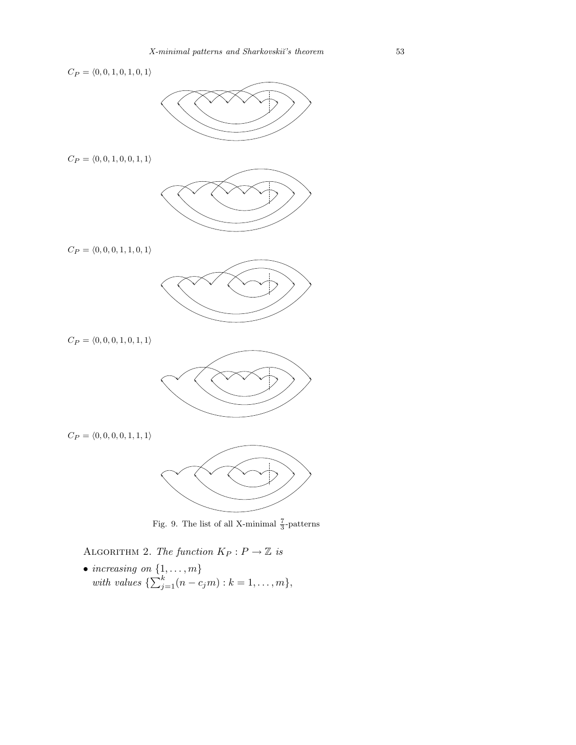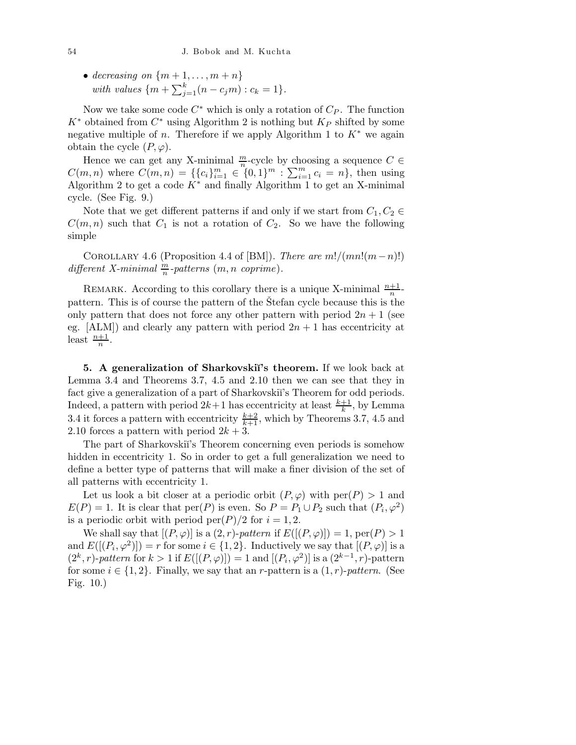• decreasing on  $\{m+1,\ldots,m+n\}$ with values  $\{m + \sum_{j=1}^{k} (n - c_j m) : c_k = 1\}.$ 

Now we take some code  $C^*$  which is only a rotation of  $C_P$ . The function  $K^*$  obtained from  $C^*$  using Algorithm 2 is nothing but  $K_P$  shifted by some negative multiple of n. Therefore if we apply Algorithm 1 to  $K^*$  we again obtain the cycle  $(P, \varphi)$ .

Hence we can get any X-minimal  $\frac{m}{n}$ -cycle by choosing a sequence  $C \in$  $C(m, n)$  where  $C(m, n) = \{\{c_i\}_{i=1}^m \in \{0, 1\}^m : \sum_{i=1}^m c_i = n\},\$  then using Algorithm 2 to get a code  $K^*$  and finally Algorithm 1 to get an X-minimal cycle. (See Fig. 9.)

Note that we get different patterns if and only if we start from  $C_1, C_2 \in$  $C(m,n)$  such that  $C_1$  is not a rotation of  $C_2$ . So we have the following simple

COROLLARY 4.6 (Proposition 4.4 of [BM]). There are  $m!/(mn!(m-n)!)$ different X-minimal  $\frac{m}{n}$ -patterns  $(m, n \text{ coprime}).$ 

REMARK. According to this corollary there is a unique X-minimal  $\frac{n+1}{n}$ pattern. This is of course the pattern of the Stefan cycle because this is the only pattern that does not force any other pattern with period  $2n + 1$  (see eg.  $[ALM]$  and clearly any pattern with period  $2n + 1$  has eccentricity at least  $\frac{n+1}{n}$ .

5. A generalization of Sharkovskii's theorem. If we look back at Lemma 3.4 and Theorems 3.7, 4.5 and 2.10 then we can see that they in fact give a generalization of a part of Sharkovskiï's Theorem for odd periods. Indeed, a pattern with period  $2k+1$  has eccentricity at least  $\frac{k+1}{k}$ , by Lemma 3.4 it forces a pattern with eccentricity  $\frac{k+2}{k+1}$ , which by Theorems 3.7, 4.5 and 2.10 forces a pattern with period  $2k + 3$ .

The part of Sharkovskii's Theorem concerning even periods is somehow hidden in eccentricity 1. So in order to get a full generalization we need to define a better type of patterns that will make a finer division of the set of all patterns with eccentricity 1.

Let us look a bit closer at a periodic orbit  $(P, \varphi)$  with  $per(P) > 1$  and  $E(P) = 1$ . It is clear that  $per(P)$  is even. So  $P = P_1 \cup P_2$  such that  $(P_i, \varphi^2)$ is a periodic orbit with period per $(P)/2$  for  $i = 1, 2$ .

We shall say that  $[(P,\varphi)]$  is a  $(2,r)$ -pattern if  $E([(P,\varphi)]) = 1$ ,  $\text{per}(P) > 1$ and  $E([(P_i, \varphi^2)]) = r$  for some  $i \in \{1, 2\}$ . Inductively we say that  $[(P, \varphi)]$  is a  $(2^k, r)$ -pattern for  $k > 1$  if  $E([(P, \varphi)]) = 1$  and  $[(P_i, \varphi^2)]$  is a  $(2^{k-1}, r)$ -pattern for some  $i \in \{1,2\}$ . Finally, we say that an *r*-pattern is a  $(1,r)$ -pattern. (See Fig. 10.)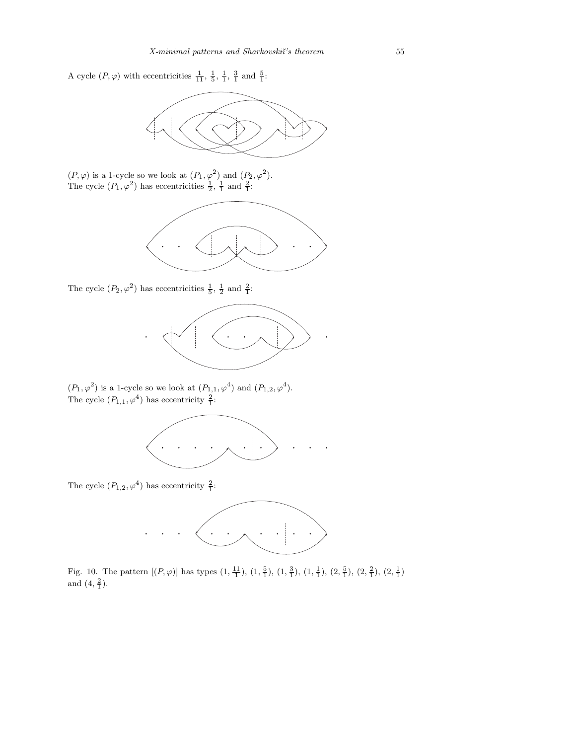A cycle  $(P, \varphi)$  with eccentricities  $\frac{1}{11}$ ,  $\frac{1}{5}$ ,  $\frac{1}{1}$ ,  $\frac{3}{1}$  and  $\frac{5}{1}$ :



 $(P, \varphi)$  is a 1-cycle so we look at  $(P_1, \varphi^2)$  and  $(P_2, \varphi^2)$ . The cycle  $(P_1, \varphi^2)$  has eccentricities  $\frac{1}{2}$ ,  $\frac{1}{1}$  and  $\frac{2}{1}$ :



The cycle  $(P_2, \varphi^2)$  has eccentricities  $\frac{1}{5}$ ,  $\frac{1}{2}$  and  $\frac{2}{1}$ :



 $(P_1, \varphi^2)$  is a 1-cycle so we look at  $(P_{1,1}, \varphi^4)$  and  $(P_{1,2}, \varphi^4)$ . The cycle  $(P_{1,1}, \varphi^4)$  has eccentricity  $\frac{2}{1}$ :



The cycle  $(P_{1,2}, \varphi^4)$  has eccentricity  $\frac{2}{1}$ :



Fig. 10. The pattern  $[(P,\varphi)]$  has types  $(1, \frac{11}{1}), (1, \frac{5}{1}), (1, \frac{3}{1}), (1, \frac{1}{1}), (2, \frac{5}{1}), (2, \frac{2}{1}), (2, \frac{1}{1})$ and  $(4, \frac{2}{1})$ .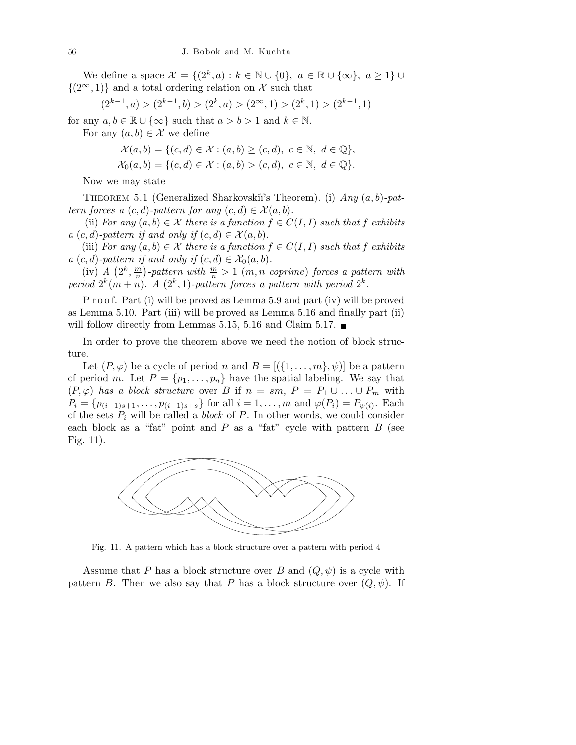We define a space  $\mathcal{X} = \{(2^k, a) : k \in \mathbb{N} \cup \{0\}, a \in \mathbb{R} \cup \{\infty\}, a \geq 1\} \cup$  $\{(2^{\infty}, 1)\}\$ and a total ordering relation on X such that

$$
(2^{k-1},a) > (2^{k-1},b) > (2^k,a) > (2^\infty,1) > (2^k,1) > (2^{k-1},1)
$$

for any  $a, b \in \mathbb{R} \cup \{\infty\}$  such that  $a > b > 1$  and  $k \in \mathbb{N}$ . For any  $(a, b) \in \mathcal{X}$  we define

$$
\mathcal{X}(a,b) = \{(c,d) \in \mathcal{X} : (a,b) \ge (c,d), c \in \mathbb{N}, d \in \mathbb{Q}\},
$$
  

$$
\mathcal{X}_0(a,b) = \{(c,d) \in \mathcal{X} : (a,b) > (c,d), c \in \mathbb{N}, d \in \mathbb{Q}\}.
$$

Now we may state

THEOREM 5.1 (Generalized Sharkovskiı̆'s Theorem). (i)  $Any (a, b)$ -pattern forces a  $(c,d)$ -pattern for any  $(c,d) \in \mathcal{X}(a,b)$ .

(ii) For any  $(a, b) \in \mathcal{X}$  there is a function  $f \in C(I, I)$  such that f exhibits a  $(c,d)$ -pattern if and only if  $(c,d) \in \mathcal{X}(a,b)$ .

(iii) For any  $(a, b) \in \mathcal{X}$  there is a function  $f \in C(I, I)$  such that f exhibits a  $(c,d)$ -pattern if and only if  $(c,d) \in \mathcal{X}_0(a,b)$ .

 $(iv)$  A  $(2^k, \frac{m}{n})$  $\frac{m}{n}$ )-pattern with  $\frac{m}{n} > 1$  (m, n coprime) forces a pattern with period  $2^k(m+n)$ . A  $(2^k, 1)$ -pattern forces a pattern with period  $2^k$ .

P r o o f. Part (i) will be proved as Lemma 5.9 and part (iv) will be proved as Lemma 5.10. Part (iii) will be proved as Lemma 5.16 and finally part (ii) will follow directly from Lemmas 5.15, 5.16 and Claim 5.17.  $\blacksquare$ 

In order to prove the theorem above we need the notion of block structure.

Let  $(P, \varphi)$  be a cycle of period n and  $B = [(\{1, \ldots, m\}, \psi)]$  be a pattern of period m. Let  $P = \{p_1, \ldots, p_n\}$  have the spatial labeling. We say that  $(P, \varphi)$  has a block structure over B if  $n = sm$ ,  $P = P_1 \cup ... \cup P_m$  with  $P_i = \{p_{(i-1)s+1}, \ldots, p_{(i-1)s+s}\}\text{ for all }i = 1,\ldots,m\text{ and }\varphi(P_i) = P_{\psi(i)}.\text{ Each }$ of the sets  $P_i$  will be called a *block* of  $P$ . In other words, we could consider each block as a "fat" point and  $P$  as a "fat" cycle with pattern  $B$  (see Fig. 11).



Fig. 11. A pattern which has a block structure over a pattern with period 4

Assume that P has a block structure over B and  $(Q, \psi)$  is a cycle with pattern B. Then we also say that P has a block structure over  $(Q, \psi)$ . If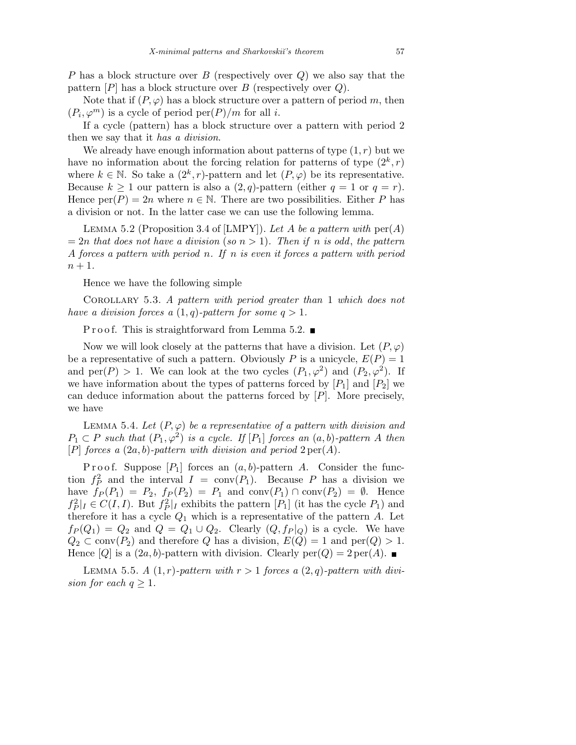P has a block structure over B (respectively over  $Q$ ) we also say that the pattern  $[P]$  has a block structure over B (respectively over Q).

Note that if  $(P, \varphi)$  has a block structure over a pattern of period m, then  $(P_i, \varphi^m)$  is a cycle of period  $per(P)/m$  for all *i*.

If a cycle (pattern) has a block structure over a pattern with period 2 then we say that it has a division.

We already have enough information about patterns of type  $(1,r)$  but we have no information about the forcing relation for patterns of type  $(2^k, r)$ where  $k \in \mathbb{N}$ . So take a  $(2^k, r)$ -pattern and let  $(P, \varphi)$  be its representative. Because  $k > 1$  our pattern is also a  $(2, q)$ -pattern (either  $q = 1$  or  $q = r$ ). Hence  $\text{per}(P) = 2n$  where  $n \in \mathbb{N}$ . There are two possibilities. Either P has a division or not. In the latter case we can use the following lemma.

LEMMA 5.2 (Proposition 3.4 of [LMPY]). Let A be a pattern with  $per(A)$  $= 2n$  that does not have a division (so  $n > 1$ ). Then if n is odd, the pattern A forces a pattern with period n. If n is even it forces a pattern with period  $n+1$ .

Hence we have the following simple

Corollary 5.3. A pattern with period greater than 1 which does not have a division forces a  $(1,q)$ -pattern for some  $q > 1$ .

P r o o f. This is straightforward from Lemma 5.2.  $\blacksquare$ 

Now we will look closely at the patterns that have a division. Let  $(P, \varphi)$ be a representative of such a pattern. Obviously P is a unicycle,  $E(P) = 1$ and per(P) > 1. We can look at the two cycles  $(P_1, \varphi^2)$  and  $(P_2, \varphi^2)$ . If we have information about the types of patterns forced by  $[P_1]$  and  $[P_2]$  we can deduce information about the patterns forced by [P]. More precisely, we have

LEMMA 5.4. Let  $(P, \varphi)$  be a representative of a pattern with division and  $P_1 \subset P$  such that  $(P_1, \varphi^2)$  is a cycle. If  $[P_1]$  forces an  $(a, b)$ -pattern A then [P] forces a  $(2a, b)$ -pattern with division and period  $2 \text{ per}(A)$ .

P r o o f. Suppose  $[P_1]$  forces an  $(a, b)$ -pattern A. Consider the function  $f_P^2$  and the interval  $I = \text{conv}(P_1)$ . Because P has a division we have  $f_P(P_1) = P_2$ ,  $f_P(P_2) = P_1$  and  $conv(P_1) \cap conv(P_2) = \emptyset$ . Hence  $f_P^2|_I \in C(I,I)$ . But  $f_P^2|_I$  exhibits the pattern  $[P_1]$  (it has the cycle  $P_1$ ) and therefore it has a cycle  $Q_1$  which is a representative of the pattern A. Let  $f_P(Q_1) = Q_2$  and  $Q = Q_1 \cup Q_2$ . Clearly  $(Q, f_P|_Q)$  is a cycle. We have  $Q_2 \subset \text{conv}(P_2)$  and therefore Q has a division,  $E(Q) = 1$  and  $\text{per}(Q) > 1$ . Hence  $[Q]$  is a  $(2a, b)$ -pattern with division. Clearly  $\text{per}(Q) = 2 \text{per}(A)$ .

LEMMA 5.5. A  $(1,r)$ -pattern with  $r > 1$  forces a  $(2,q)$ -pattern with division for each  $q \geq 1$ .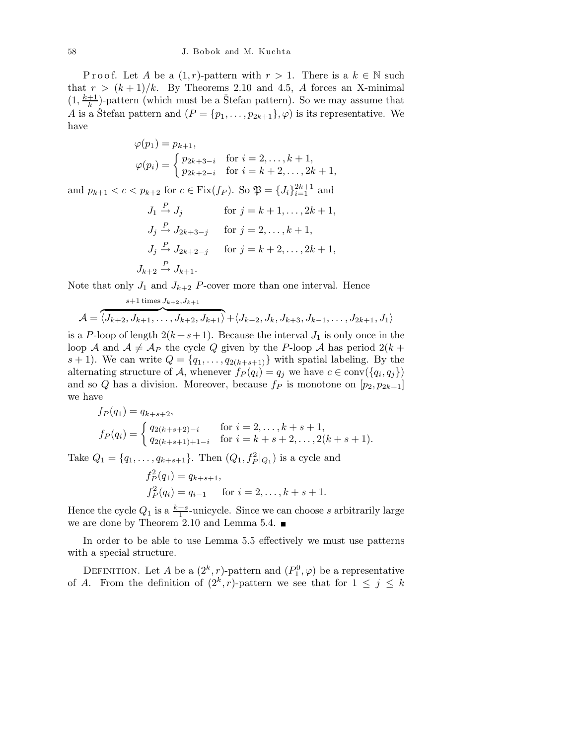Proof. Let A be a  $(1,r)$ -pattern with  $r > 1$ . There is a  $k \in \mathbb{N}$  such that  $r > (k+1)/k$ . By Theorems 2.10 and 4.5, A forces an X-minimal  $(1, \frac{k+1}{k})$  $\frac{+1}{k}$ )-pattern (which must be a Stefan pattern). So we may assume that A is a Stefan pattern and  $(P = \{p_1, \ldots, p_{2k+1}\}, \varphi)$  is its representative. We have

$$
\varphi(p_1) = p_{k+1},
$$
  
\n
$$
\varphi(p_i) = \begin{cases} p_{2k+3-i} & \text{for } i = 2, ..., k+1, \\ p_{2k+2-i} & \text{for } i = k+2, ..., 2k+1, \end{cases}
$$

and  $p_{k+1} < c < p_{k+2}$  for  $c \in \text{Fix}(f_P)$ . So  $\mathfrak{P} = \{J_i\}_{i=1}^{2k+1}$  and

$$
J_1 \xrightarrow{P} J_j \quad \text{for } j = k+1, ..., 2k+1,
$$
  
\n
$$
J_j \xrightarrow{P} J_{2k+3-j} \quad \text{for } j = 2, ..., k+1,
$$
  
\n
$$
J_j \xrightarrow{P} J_{2k+2-j} \quad \text{for } j = k+2, ..., 2k+1,
$$
  
\n
$$
J_{k+2} \xrightarrow{P} J_{k+1}.
$$

Note that only  $J_1$  and  $J_{k+2}$  P-cover more than one interval. Hence

$$
A = \overbrace{\langle J_{k+2}, J_{k+1}, \dots, J_{k+2}, J_{k+1} \rangle}^{s+1 \text{ times } J_{k+2}, J_{k+1}} + \langle J_{k+2}, J_k, J_{k+3}, J_{k-1}, \dots, J_{2k+1}, J_1 \rangle
$$

is a P-loop of length  $2(k+s+1)$ . Because the interval  $J_1$  is only once in the loop A and  $A \neq A_P$  the cycle Q given by the P-loop A has period  $2(k +$  $s + 1$ ). We can write  $Q = \{q_1, \ldots, q_{2(k+s+1)}\}$  with spatial labeling. By the alternating structure of A, whenever  $f_P(q_i) = q_j$  we have  $c \in \text{conv}(\{q_i, q_j\})$ and so Q has a division. Moreover, because  $f_P$  is monotone on  $[p_2, p_{2k+1}]$ we have

$$
f_P(q_1) = q_{k+s+2},
$$
  
\n
$$
f_P(q_i) = \begin{cases} q_{2(k+s+2)-i} & \text{for } i = 2, ..., k+s+1, \\ q_{2(k+s+1)+1-i} & \text{for } i = k+s+2, ..., 2(k+s+1). \end{cases}
$$

Take  $Q_1 = \{q_1, \ldots, q_{k+s+1}\}\$ . Then  $(Q_1, f_P^2|_{Q_1})$  is a cycle and

$$
f_P^2(q_1) = q_{k+s+1},
$$
  
\n
$$
f_P^2(q_i) = q_{i-1} \quad \text{for } i = 2, ..., k+s+1.
$$

Hence the cycle  $Q_1$  is a  $\frac{k+s}{1}$ -unicycle. Since we can choose s arbitrarily large we are done by Theorem 2.10 and Lemma 5.4.

In order to be able to use Lemma 5.5 effectively we must use patterns with a special structure.

DEFINITION. Let A be a  $(2^k, r)$ -pattern and  $(P_1^0, \varphi)$  be a representative of A. From the definition of  $(2^k, r)$ -pattern we see that for  $1 \leq j \leq k$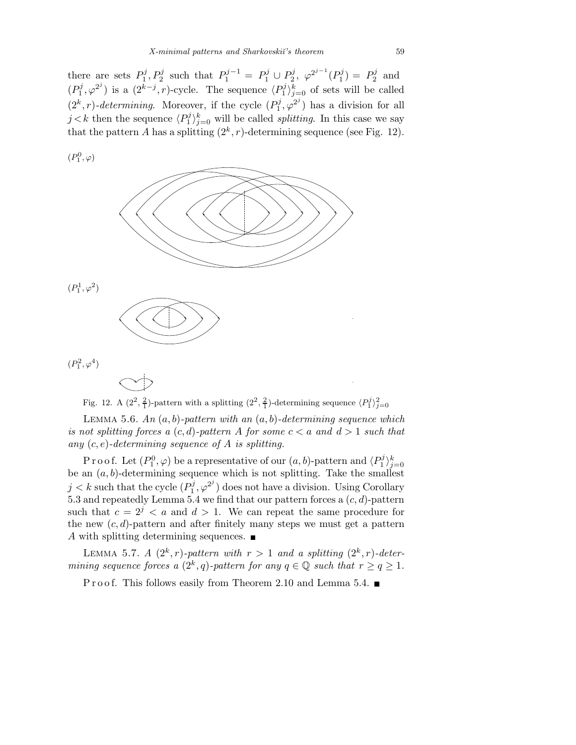there are sets  $P_1^j$  $P_1^j, P_2^j$  such that  $P_1^{j-1} = P_1^j \cup P_2^j$  $2^j$ ,  $\varphi^{2^{j-1}}(P_1^j)$  $P_1^j$  =  $P_2^j$  $n_2^j$  and  $(P_1^j$  $(2^{k-j}, r)$ -cycle. The sequence  $\langle P_1^j \rangle$  $\binom{p}{1}$ <sub>j=0</sub> of sets will be called  $(2<sup>k</sup>, r)$ -determining. Moreover, if the cycle  $(P_1^j)$  $\phi_1^j, \varphi_2^{j}$ ) has a division for all  $j < k$  then the sequence  $\langle P_1^j \rangle$  $\int_{1}^{j}$   $\int_{j=0}^{k}$  will be called *splitting*. In this case we say that the pattern A has a splitting  $(2^k, r)$ -determining sequence (see Fig. 12).

 $(P_1^0, \varphi)$ 



Fig. 12. A  $(2^2, \frac{2}{1})$ -pattern with a splitting  $(2^2, \frac{2}{1})$ -determining sequence  $\langle P_1^j \rangle_{j=0}^2$ 

LEMMA 5.6. An  $(a, b)$ -pattern with an  $(a, b)$ -determining sequence which is not splitting forces a  $(c,d)$ -pattern A for some  $c < a$  and  $d > 1$  such that any  $(c, e)$ -determining sequence of A is splitting.

Proof. Let  $(P_1^0, \varphi)$  be a representative of our  $(a, b)$ -pattern and  $\langle P_1^j$ Proof. Let  $(P_1^0, \varphi)$  be a representative of our  $(a, b)$ -pattern and  $\langle P_1^j \rangle_{j=0}^k$ <br>be an  $(a, b)$ -determining sequence which is not splitting. Take the smallest  $j < k$  such that the cycle  $(P_1^j)$  $\mathbf{Q}_1^{j}, \varphi^{2^j}$  does not have a division. Using Corollary 5.3 and repeatedly Lemma 5.4 we find that our pattern forces a  $(c, d)$ -pattern such that  $c = 2^j < a$  and  $d > 1$ . We can repeat the same procedure for the new  $(c, d)$ -pattern and after finitely many steps we must get a pattern A with splitting determining sequences.  $\blacksquare$ 

LEMMA 5.7. A  $(2^k, r)$ -pattern with  $r > 1$  and a splitting  $(2^k, r)$ -determining sequence forces a  $(2^k, q)$ -pattern for any  $q \in \mathbb{Q}$  such that  $r \geq q \geq 1$ .

P r o o f. This follows easily from Theorem 2.10 and Lemma 5.4.  $\blacksquare$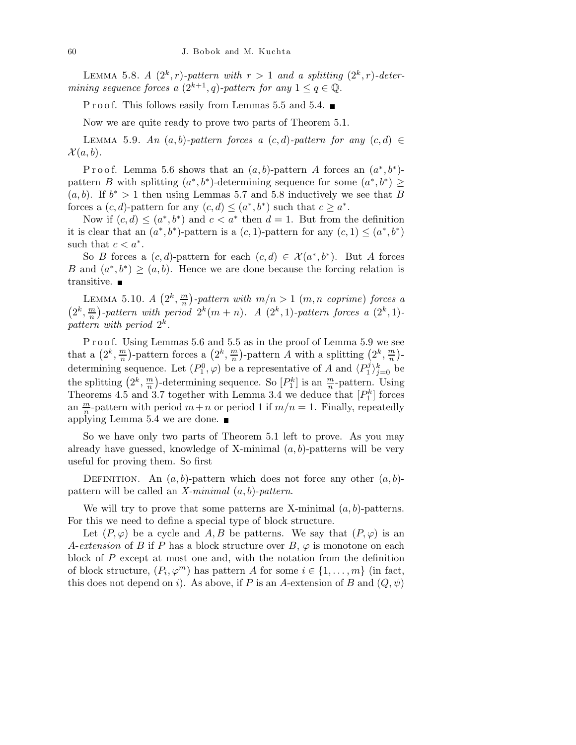LEMMA 5.8. A  $(2^k, r)$ -pattern with  $r > 1$  and a splitting  $(2^k, r)$ -determining sequence forces a  $(2^{k+1}, q)$ -pattern for any  $1 \leq q \in \mathbb{Q}$ .

P r o o f. This follows easily from Lemmas 5.5 and 5.4.  $\blacksquare$ 

Now we are quite ready to prove two parts of Theorem 5.1.

LEMMA 5.9. An  $(a, b)$ -pattern forces a  $(c, d)$ -pattern for any  $(c, d) \in$  $\mathcal{X}(a,b).$ 

Proof. Lemma 5.6 shows that an  $(a, b)$ -pattern A forces an  $(a^*, b^*)$ pattern B with splitting  $(a^*,b^*)$ -determining sequence for some  $(a^*,b^*) \geq$  $(a, b)$ . If  $b^* > 1$  then using Lemmas 5.7 and 5.8 inductively we see that B forces a  $(c, d)$ -pattern for any  $(c, d) \leq (a^*, b^*)$  such that  $c \geq a^*$ .

Now if  $(c, d) \leq (a^*, b^*)$  and  $c < a^*$  then  $d = 1$ . But from the definition it is clear that an  $(a^*,b^*)$ -pattern is a  $(c,1)$ -pattern for any  $(c,1) \leq (a^*,b^*)$ such that  $c < a^*$ .

So B forces a  $(c, d)$ -pattern for each  $(c, d) \in \mathcal{X}(a^*, b^*)$ . But A forces B and  $(a^*,b^*) \geq (a,b)$ . Hence we are done because the forcing relation is transitive.

LEMMA 5.10.  $A\left(2^k,\frac{m}{n}\right)$  $\binom{m}{n}$ -pattern with  $m/n > 1$   $(m, n \text{ coprime})$  forces a  $\left(2^k,\frac{m}{n}\right)$  $\binom{m}{n}$ -pattern with period  $2^k(m+n)$ . A  $(2^k, 1)$ -pattern forces a  $(2^k, 1)$ pattern with period  $2^k$ .

P r o o f. Using Lemmas 5.6 and 5.5 as in the proof of Lemma 5.9 we see that a  $(2^k, \frac{m}{n})$  $\frac{m}{n}$ )-pattern forces a  $(2^k, \frac{m}{n})$  $\frac{m}{n}$ )-pattern A with a splitting  $(2^k, \frac{m}{n})$  $\frac{m}{n}$ )determining sequence. Let  $(P_1^0, \varphi)$  be a representative of A and  $\langle P_1^j \rangle$  $\binom{pj}{1}^k_{j=0}$  be the splitting  $(2^k, \frac{m}{n})$  $\frac{m}{n}$ )-determining sequence. So  $[P_1^k]$  is an  $\frac{m}{n}$ -pattern. Using Theorems 4.5 and 3.7 together with Lemma 3.4 we deduce that  $[P_1^k]$  forces an  $\frac{m}{n}$ -pattern with period  $m+n$  or period 1 if  $m/n = 1$ . Finally, repeatedly applying Lemma 5.4 we are done.

So we have only two parts of Theorem 5.1 left to prove. As you may already have guessed, knowledge of X-minimal  $(a, b)$ -patterns will be very useful for proving them. So first

DEFINITION. An  $(a, b)$ -pattern which does not force any other  $(a, b)$ pattern will be called an X-minimal  $(a, b)$ -pattern.

We will try to prove that some patterns are X-minimal  $(a, b)$ -patterns. For this we need to define a special type of block structure.

Let  $(P, \varphi)$  be a cycle and A, B be patterns. We say that  $(P, \varphi)$  is an A-extension of B if P has a block structure over  $B, \varphi$  is monotone on each block of P except at most one and, with the notation from the definition of block structure,  $(P_i, \varphi^m)$  has pattern A for some  $i \in \{1, ..., m\}$  (in fact, this does not depend on i). As above, if P is an A-extension of B and  $(Q, \psi)$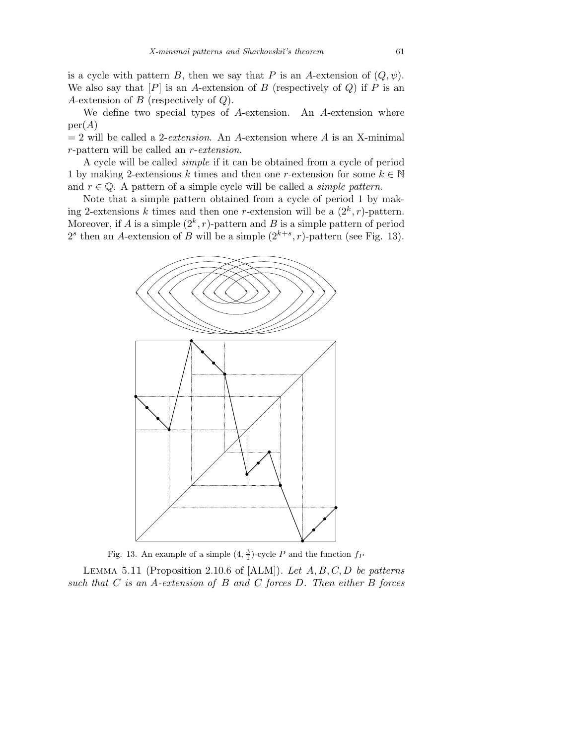is a cycle with pattern B, then we say that P is an A-extension of  $(Q, \psi)$ . We also say that  $[P]$  is an A-extension of B (respectively of Q) if P is an A-extension of  $B$  (respectively of  $Q$ ).

We define two special types of A-extension. An A-extension where  $per(A)$ 

 $= 2$  will be called a 2-*extension*. An A-extension where A is an X-minimal r-pattern will be called an r-extension.

A cycle will be called simple if it can be obtained from a cycle of period 1 by making 2-extensions k times and then one r-extension for some  $k \in \mathbb{N}$ and  $r \in \mathbb{Q}$ . A pattern of a simple cycle will be called a *simple pattern*.

Note that a simple pattern obtained from a cycle of period 1 by making 2-extensions k times and then one r-extension will be a  $(2^k, r)$ -pattern. Moreover, if A is a simple  $(2^k, r)$ -pattern and B is a simple pattern of period  $2<sup>s</sup>$  then an A-extension of B will be a simple  $(2<sup>k+s</sup>, r)$ -pattern (see Fig. 13).



Fig. 13. An example of a simple  $(4, \frac{3}{1})$ -cycle *P* and the function  $f_P$ 

LEMMA 5.11 (Proposition 2.10.6 of  $[ALM]$ ). Let  $A, B, C, D$  be patterns such that  $C$  is an A-extension of  $B$  and  $C$  forces  $D$ . Then either  $B$  forces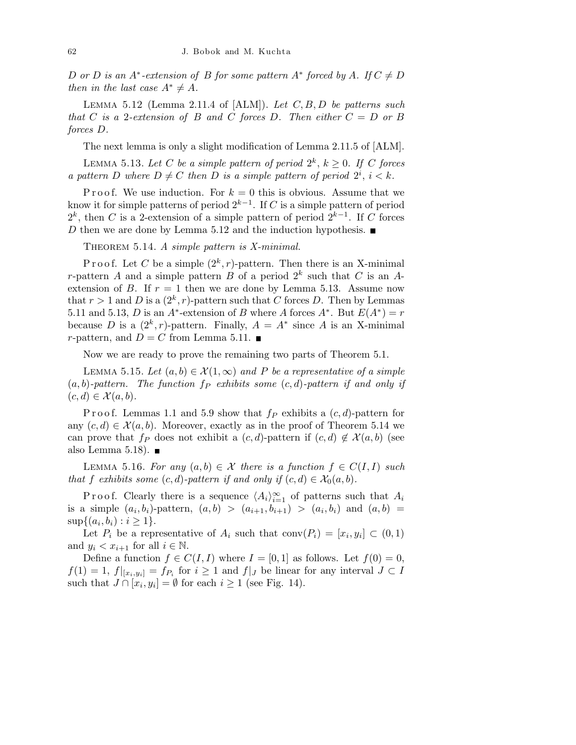D or D is an  $A^*$ -extension of B for some pattern  $A^*$  forced by A. If  $C \neq D$ then in the last case  $A^* \neq A$ .

LEMMA 5.12 (Lemma 2.11.4 of  $[ALM]$ ). Let  $C, B, D$  be patterns such that C is a 2-extension of B and C forces D. Then either  $C = D$  or B forces D.

The next lemma is only a slight modification of Lemma 2.11.5 of [ALM].

LEMMA 5.13. Let C be a simple pattern of period  $2^k$ ,  $k \geq 0$ . If C forces a pattern D where  $D \neq C$  then D is a simple pattern of period  $2^i$ ,  $i < k$ .

P r o o f. We use induction. For  $k = 0$  this is obvious. Assume that we know it for simple patterns of period  $2^{k-1}$ . If C is a simple pattern of period  $2^k$ , then C is a 2-extension of a simple pattern of period  $2^{k-1}$ . If C forces D then we are done by Lemma 5.12 and the induction hypothesis.  $\blacksquare$ 

THEOREM 5.14. A simple pattern is X-minimal.

Proof. Let C be a simple  $(2^k, r)$ -pattern. Then there is an X-minimal r-pattern A and a simple pattern B of a period  $2^k$  such that C is an Aextension of B. If  $r = 1$  then we are done by Lemma 5.13. Assume now that  $r > 1$  and D is a  $(2^k, r)$ -pattern such that C forces D. Then by Lemmas 5.11 and 5.13, D is an  $A^*$ -extension of B where A forces  $A^*$ . But  $E(A^*) = r$ because D is a  $(2^k, r)$ -pattern. Finally,  $A = A^*$  since A is an X-minimal r-pattern, and  $D = C$  from Lemma 5.11.

Now we are ready to prove the remaining two parts of Theorem 5.1.

LEMMA 5.15. Let  $(a, b) \in \mathcal{X}(1, \infty)$  and P be a representative of a simple  $(a, b)$ -pattern. The function  $f_P$  exhibits some  $(c, d)$ -pattern if and only if  $(c,d) \in \mathcal{X}(a,b).$ 

P r o o f. Lemmas 1.1 and 5.9 show that  $f_P$  exhibits a  $(c,d)$ -pattern for any  $(c,d) \in \mathcal{X}(a,b)$ . Moreover, exactly as in the proof of Theorem 5.14 we can prove that  $f_P$  does not exhibit a  $(c,d)$ -pattern if  $(c,d) \notin \mathcal{X}(a,b)$  (see also Lemma 5.18).  $\blacksquare$ 

LEMMA 5.16. For any  $(a,b) \in \mathcal{X}$  there is a function  $f \in C(I,I)$  such that f exhibits some  $(c,d)$ -pattern if and only if  $(c,d) \in \mathcal{X}_0(a,b)$ .

P r o o f. Clearly there is a sequence  $\langle A_i \rangle_{i=1}^{\infty}$  of patterns such that  $A_i$ is a simple  $(a_i, b_i)$ -pattern,  $(a, b) > (a_{i+1}, b_{i+1}) > (a_i, b_i)$  and  $(a, b) =$  $\sup\{(a_i, b_i) : i \geq 1\}.$ 

Let  $P_i$  be a representative of  $A_i$  such that  $conv(P_i) = [x_i, y_i] \subset (0,1)$ and  $y_i < x_{i+1}$  for all  $i \in \mathbb{N}$ .

Define a function  $f \in C(I, I)$  where  $I = [0, 1]$  as follows. Let  $f(0) = 0$ ,  $f(1) = 1, f|_{[x_i, y_i]} = f_{P_i}$  for  $i \ge 1$  and  $f|_J$  be linear for any interval  $J \subset I$ such that  $J \cap [x_i, y_i] = \emptyset$  for each  $i \geq 1$  (see Fig. 14).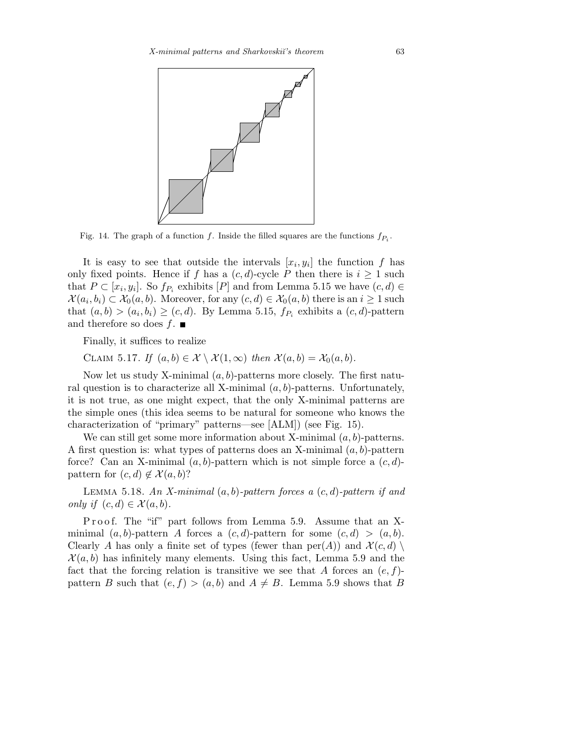

Fig. 14. The graph of a function  $f$ . Inside the filled squares are the functions  $f_{P_i}$ .

It is easy to see that outside the intervals  $[x_i, y_i]$  the function f has only fixed points. Hence if f has a  $(c, d)$ -cycle P then there is  $i \geq 1$  such that  $P \subset [x_i, y_i]$ . So  $f_{P_i}$  exhibits  $[P]$  and from Lemma 5.15 we have  $(c, d) \in$  $\mathcal{X}(a_i, b_i) \subset \mathcal{X}_0(a, b)$ . Moreover, for any  $(c, d) \in \mathcal{X}_0(a, b)$  there is an  $i \geq 1$  such that  $(a,b) > (a_i, b_i) \ge (c,d)$ . By Lemma 5.15,  $f_{P_i}$  exhibits a  $(c,d)$ -pattern and therefore so does  $f$ .

Finally, it suffices to realize

CLAIM 5.17. If  $(a, b) \in \mathcal{X} \setminus \mathcal{X}(1, \infty)$  then  $\mathcal{X}(a, b) = \mathcal{X}_0(a, b)$ .

Now let us study X-minimal  $(a, b)$ -patterns more closely. The first natural question is to characterize all X-minimal  $(a, b)$ -patterns. Unfortunately, it is not true, as one might expect, that the only X-minimal patterns are the simple ones (this idea seems to be natural for someone who knows the characterization of "primary" patterns—see [ALM]) (see Fig. 15).

We can still get some more information about X-minimal  $(a, b)$ -patterns. A first question is: what types of patterns does an X-minimal  $(a, b)$ -pattern force? Can an X-minimal  $(a, b)$ -pattern which is not simple force a  $(c, d)$ pattern for  $(c,d) \notin \mathcal{X}(a,b)$ ?

LEMMA 5.18. An X-minimal  $(a, b)$ -pattern forces a  $(c, d)$ -pattern if and only if  $(c,d) \in \mathcal{X}(a,b)$ .

P roof. The "if" part follows from Lemma 5.9. Assume that an Xminimal  $(a, b)$ -pattern A forces a  $(c, d)$ -pattern for some  $(c, d) > (a, b)$ . Clearly A has only a finite set of types (fewer than  $per(A)$ ) and  $\mathcal{X}(c,d)$  $\mathcal{X}(a,b)$  has infinitely many elements. Using this fact, Lemma 5.9 and the fact that the forcing relation is transitive we see that A forces an  $(e, f)$ pattern B such that  $(e, f) > (a, b)$  and  $A \neq B$ . Lemma 5.9 shows that B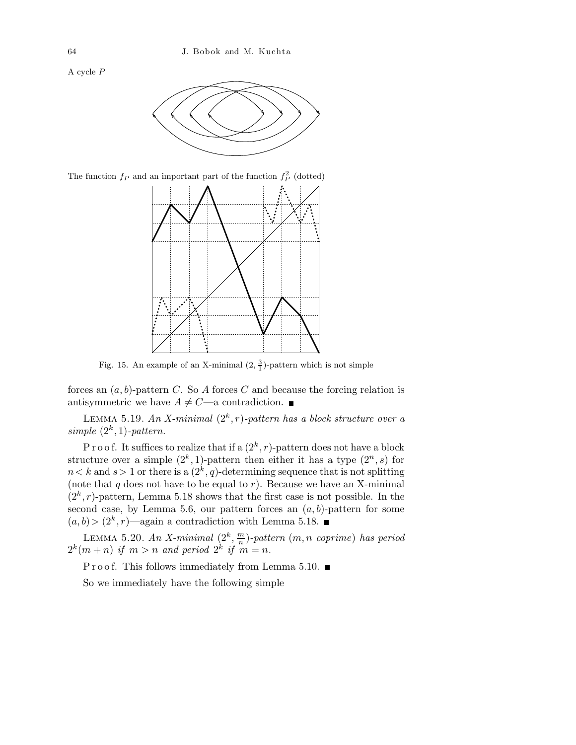A cycle *P*



The function  $f_P$  and an important part of the function  $f_P^2$  (dotted)



Fig. 15. An example of an X-minimal  $(2, \frac{3}{1})$ -pattern which is not simple

forces an  $(a, b)$ -pattern C. So A forces C and because the forcing relation is antisymmetric we have  $A \neq C$ —a contradiction.

LEMMA 5.19. An X-minimal  $(2^k, r)$ -pattern has a block structure over a simple  $(2^k, 1)$ -pattern.

P r o o f. It suffices to realize that if a  $(2^k, r)$ -pattern does not have a block structure over a simple  $(2^k, 1)$ -pattern then either it has a type  $(2^n, s)$  for  $n < k$  and  $s > 1$  or there is a  $(2<sup>k</sup>, q)$ -determining sequence that is not splitting (note that  $q$  does not have to be equal to  $r$ ). Because we have an X-minimal  $(2<sup>k</sup>, r)$ -pattern, Lemma 5.18 shows that the first case is not possible. In the second case, by Lemma 5.6, our pattern forces an  $(a, b)$ -pattern for some  $(a,b) > (2<sup>k</sup>,r)$ —again a contradiction with Lemma 5.18.

LEMMA 5.20. An X-minimal  $(2^k, \frac{m}{n})$  $\frac{m}{n}$ )-pattern  $(m,n\,\,\,coprime)$  has period  $2^k(m+n)$  if  $m>n$  and period  $2^k$  if  $m=n$ .

P r o o f. This follows immediately from Lemma 5.10.  $\blacksquare$ 

So we immediately have the following simple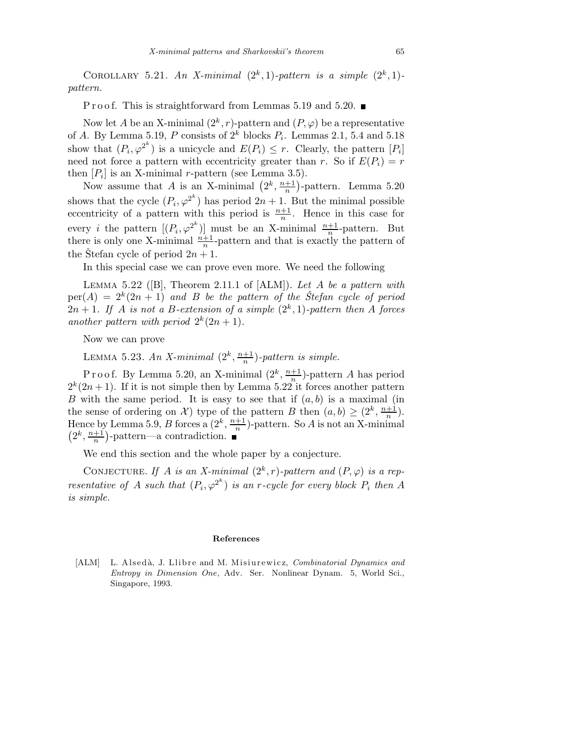COROLLARY 5.21. An X-minimal  $(2^k, 1)$ -pattern is a simple  $(2^k, 1)$ pattern.

P r o o f. This is straightforward from Lemmas 5.19 and 5.20.  $\blacksquare$ 

Now let A be an X-minimal  $(2^k, r)$ -pattern and  $(P, \varphi)$  be a representative of A. By Lemma 5.19, P consists of  $2^k$  blocks  $P_i$ . Lemmas 2.1, 5.4 and 5.18 show that  $(P_i, \varphi^{2^k})$  is a unicycle and  $E(P_i) \leq r$ . Clearly, the pattern  $[P_i]$ need not force a pattern with eccentricity greater than r. So if  $E(P_i) = r$ then  $[P_i]$  is an X-minimal r-pattern (see Lemma 3.5).

Now assume that A is an X-minimal  $(2^k, \frac{n+1}{n})$  $\frac{+1}{n}$ )-pattern. Lemma 5.20 shows that the cycle  $(P_i, \varphi^{2^k})$  has period  $2n + 1$ . But the minimal possible eccentricity of a pattern with this period is  $\frac{n+1}{n}$ . Hence in this case for every *i* the pattern  $[(P_i, \varphi^{2^k})]$  must be an X-minimal  $\frac{n+1}{n}$ -pattern. But there is only one X-minimal  $\frac{n+1}{n}$ -pattern and that is exactly the pattern of the Stefan cycle of period  $2n + 1$ .

In this special case we can prove even more. We need the following

LEMMA 5.22 ( $[B]$ , Theorem 2.11.1 of  $[ALM]$ ). Let A be a pattern with  $per(A) = 2^{k}(2n + 1)$  and B be the pattern of the Stefan cycle of period  $2n+1$ . If A is not a B-extension of a simple  $(2^k,1)$ -pattern then A forces another pattern with period  $2^k(2n+1)$ .

Now we can prove

LEMMA 5.23. An X-minimal  $(2^k, \frac{n+1}{n})$  $\frac{+1}{n}$ )-pattern is simple.

P r o o f. By Lemma 5.20, an X-minimal  $(2^k, \frac{n+1}{n})$  $\frac{+1}{n}$ )-pattern A has period  $2^{k}(2n+1)$ . If it is not simple then by Lemma 5.22 it forces another pattern B with the same period. It is easy to see that if  $(a, b)$  is a maximal (in the sense of ordering on X) type of the pattern B then  $(a, b) \geq (2^k, \frac{n+1}{n})$  $\frac{+1}{n}$ ). Hence by Lemma 5.9, B forces a  $(2^k, \frac{n+1}{n})$  $\frac{+1}{n}$ )-pattern. So A is not an X-minimal  $\left(2^k, \frac{n+1}{n}\right)$  $\frac{+1}{n}$ )-pattern—a contradiction.

We end this section and the whole paper by a conjecture.

CONJECTURE. If A is an X-minimal  $(2^k, r)$ -pattern and  $(P, \varphi)$  is a representative of A such that  $(P_i, \varphi^{2^k})$  is an r-cycle for every block  $P_i$  then A is simple.

#### **References**

[ALM] L. Alsedà, J. Llibre and M. Misiurewicz, *Combinatorial Dynamics and Entropy in Dimension One*, Adv. Ser. Nonlinear Dynam. 5, World Sci., Singapore, 1993.